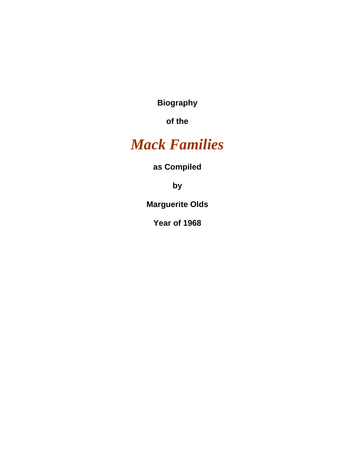**Biography** 

**of the** 

# *Mack Families*

**as Compiled** 

**by** 

**Marguerite Olds** 

**Year of 1968**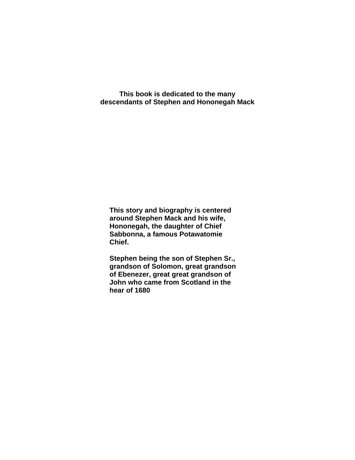**This book is dedicated to the many descendants of Stephen and Hononegah Mack** 

**This story and biography is centered around Stephen Mack and his wife, Hononegah, the daughter of Chief Sabbonna, a famous Potawatomie Chief.** 

**Stephen being the son of Stephen Sr., grandson of Solomon, great grandson of Ebenezer, great great grandson of John who came from Scotland in the hear of 1680**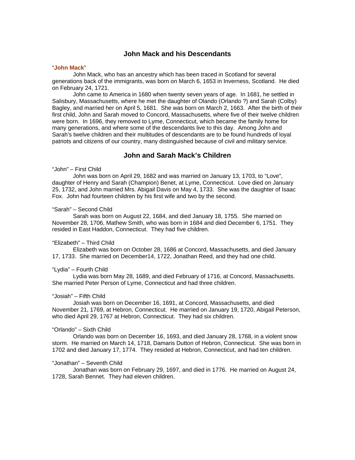# **John Mack and his Descendants**

### "**John Mack**"

 John Mack, who has an ancestry which has been traced in Scotland for several generations back of the immigrants, was born on March 6, 1653 in Inverness, Scotland. He died on February 24, 1721.

 John came to America in 1680 when twenty seven years of age. In 1681, he settled in Salisbury, Massachusetts, where he met the daughter of Olando (Orlando ?) and Sarah (Colby) Bagley, and married her on April 5, 1681. She was born on March 2, 1663. After the birth of their first child, John and Sarah moved to Concord, Massachusetts, where five of their twelve children were born. In 1696, they removed to Lyme, Connecticut, which became the family home for many generations, and where some of the descendants live to this day. Among John and Sarah's twelve children and their multitudes of descendants are to be found hundreds of loyal patriots and citizens of our country, many distinguished because of civil and military service.

# **John and Sarah Mack's Children**

### "John" – First Child

 John was born on April 29, 1682 and was married on January 13, 1703, to "Love", daughter of Henry and Sarah (Champion) Benet, at Lyme, Connecticut. Love died on January 25, 1732, and John married Mrs. Abigail Davis on May 4, 1733. She was the daughter of Isaac Fox. John had fourteen children by his first wife and two by the second.

#### "Sarah" – Second Child

 Sarah was born on August 22, 1684, and died January 18, 1755. She married on November 28, 1706, Mathew Smith, who was born in 1684 and died December 6, 1751. They resided in East Haddon, Connecticut. They had five children.

#### "Elizabeth" – Third Child

 Elizabeth was born on October 28, 1686 at Concord, Massachusetts, and died January 17, 1733. She married on December14, 1722, Jonathan Reed, and they had one child.

#### "Lydia" – Fourth Child

 Lydia was born May 28, 1689, and died February of 1716, at Concord, Massachusetts. She married Peter Person of Lyme, Connecticut and had three children.

## "Josiah" – Fifth Child

 Josiah was born on December 16, 1691, at Concord, Massachusetts, and died November 21, 1769, at Hebron, Connecticut. He married on January 19, 1720, Abigail Peterson, who died April 29, 1767 at Hebron, Connecticut. They had six children.

#### "Orlando" – Sixth Child

 Orlando was born on December 16, 1693, and died January 28, 1768, in a violent snow storm. He married on March 14, 1718, Damaris Dutton of Hebron, Connecticut. She was born in 1702 and died January 17, 1774. They resided at Hebron, Connecticut, and had ten children.

#### "Jonathan" – Seventh Child

 Jonathan was born on February 29, 1697, and died in 1776. He married on August 24, 1728, Sarah Bennet. They had eleven children.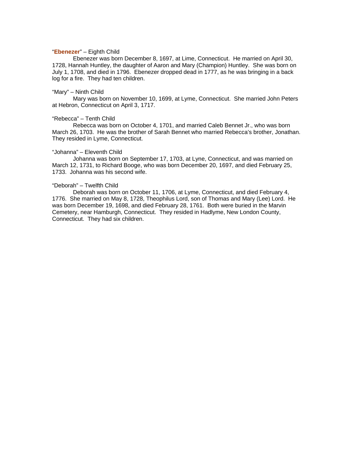#### "**Ebenezer**" – Eighth Child

 Ebenezer was born December 8, 1697, at Lime, Connecticut. He married on April 30, 1728, Hannah Huntley, the daughter of Aaron and Mary (Champion) Huntley. She was born on July 1, 1708, and died in 1796. Ebenezer dropped dead in 1777, as he was bringing in a back log for a fire. They had ten children.

#### "Mary" – Ninth Child

 Mary was born on November 10, 1699, at Lyme, Connecticut. She married John Peters at Hebron, Connecticut on April 3, 1717.

## "Rebecca" – Tenth Child

 Rebecca was born on October 4, 1701, and married Caleb Bennet Jr., who was born March 26, 1703. He was the brother of Sarah Bennet who married Rebecca's brother, Jonathan. They resided in Lyme, Connecticut.

#### "Johanna" – Eleventh Child

 Johanna was born on September 17, 1703, at Lyne, Connecticut, and was married on March 12, 1731, to Richard Booge, who was born December 20, 1697, and died February 25, 1733. Johanna was his second wife.

# "Deborah" – Twelfth Child

 Deborah was born on October 11, 1706, at Lyme, Connecticut, and died February 4, 1776. She married on May 8, 1728, Theophilus Lord, son of Thomas and Mary (Lee) Lord. He was born December 19, 1698, and died February 28, 1761. Both were buried in the Marvin Cemetery, near Hamburgh, Connecticut. They resided in Hadlyme, New London County, Connecticut. They had six children.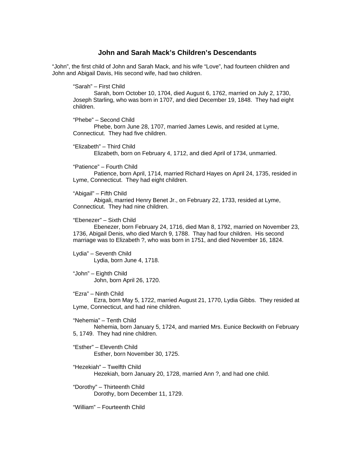# **John and Sarah Mack's Children's Descendants**

"John", the first child of John and Sarah Mack, and his wife "Love", had fourteen children and John and Abigail Davis, His second wife, had two children.

"Sarah" – First Child

Sarah, born October 10, 1704, died August 6, 1762, married on July 2, 1730, Joseph Starling, who was born in 1707, and died December 19, 1848. They had eight children.

"Phebe" – Second Child

 Phebe, born June 28, 1707, married James Lewis, and resided at Lyme, Connecticut. They had five children.

"Elizabeth" – Third Child

Elizabeth, born on February 4, 1712, and died April of 1734, unmarried.

"Patience" – Fourth Child

 Patience, born April, 1714, married Richard Hayes on April 24, 1735, resided in Lyme, Connecticut. They had eight children.

"Abigail" – Fifth Child

 Abigali, married Henry Benet Jr., on February 22, 1733, resided at Lyme, Connecticut. They had nine children.

"Ebenezer" – Sixth Child

 Ebenezer, born February 24, 1716, died Man 8, 1792, married on November 23, 1736, Abigail Denis, who died March 9, 1788. Thay had four children. His second marriage was to Elizabeth ?, who was born in 1751, and died November 16, 1824.

Lydia" – Seventh Child Lydia, born June 4, 1718.

"John" – Eighth Child John, born April 26, 1720.

"Ezra" – Ninth Child

 Ezra, born May 5, 1722, married August 21, 1770, Lydia Gibbs. They resided at Lyme, Connecticut, and had nine children.

"Nehemia" – Tenth Child Nehemia, born January 5, 1724, and married Mrs. Eunice Beckwith on February 5, 1749. They had nine children.

"Esther" – Eleventh Child Esther, born November 30, 1725.

"Hezekiah" – Twelfth Child Hezekiah, born January 20, 1728, married Ann ?, and had one child.

"Dorothy" – Thirteenth Child Dorothy, born December 11, 1729.

"William" – Fourteenth Child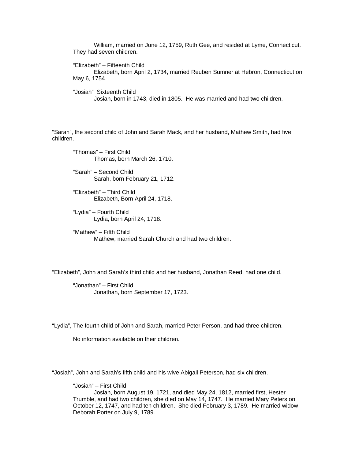William, married on June 12, 1759, Ruth Gee, and resided at Lyme, Connecticut. They had seven children.

"Elizabeth" – Fifteenth Child

 Elizabeth, born April 2, 1734, married Reuben Sumner at Hebron, Connecticut on May 6, 1754.

"Josiah" Sixteenth Child Josiah, born in 1743, died in 1805. He was married and had two children.

"Sarah", the second child of John and Sarah Mack, and her husband, Mathew Smith, had five children.

"Thomas" – First Child Thomas, born March 26, 1710.

"Sarah" – Second Child Sarah, born February 21, 1712.

"Elizabeth" – Third Child Elizabeth, Born April 24, 1718.

"Lydia" – Fourth Child Lydia, born April 24, 1718.

"Mathew" – Fifth Child Mathew, married Sarah Church and had two children.

"Elizabeth", John and Sarah's third child and her husband, Jonathan Reed, had one child.

"Jonathan" – First Child Jonathan, born September 17, 1723.

"Lydia", The fourth child of John and Sarah, married Peter Person, and had three children.

No information available on their children.

"Josiah", John and Sarah's fifth child and his wive Abigail Peterson, had six children.

"Josiah" – First Child Josiah, born August 19, 1721, and died May 24, 1812, married first, Hester Trumble, and had two children, she died on May 14, 1747. He married Mary Peters on October 12, 1747, and had ten children. She died February 3, 1789. He married widow Deborah Porter on July 9, 1789.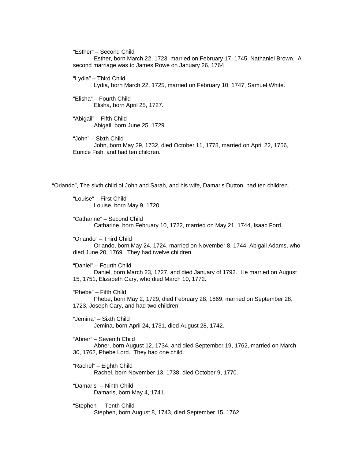"Esther" – Second Child Esther, born March 22, 1723, married on February 17, 1745, Nathaniel Brown. A second marriage was to James Rowe on January 26, 1764.

"Lydia" – Third Child

Lydia, born March 22, 1725, married on February 10, 1747, Samuel White.

"Elisha" – Fourth Child Elisha, born April 25, 1727.

"Abigail" – Fifth Child Abigail, born June 25, 1729.

"John" – Sixth Child John, born May 29, 1732, died October 11, 1778, married on April 22, 1756, Eunice Fish, and had ten children.

"Orlando", The sixth child of John and Sarah, and his wife, Damaris Dutton, had ten children.

"Louise" – First Child Louise, born May 9, 1720.

"Catharine" – Second Child Catharine, born February 10, 1722, married on May 21, 1744, Isaac Ford.

"Orlando" – Third Child Orlando, born May 24, 1724, married on November 8, 1744, Abigail Adams, who died June 20, 1769. They had twelve children.

"Daniel" – Fourth Child Daniel, born March 23, 1727, and died January of 1792. He married on August 15, 1751, Elizabeth Cary, who died March 10, 1772.

"Phebe" – Fifth Child Phebe, born May 2, 1729, died February 28, 1869, married on September 28, 1723, Joseph Cary, and had two children.

"Jemina" – Sixth Child Jemina, born April 24, 1731, died August 28, 1742.

"Abner" – Seventh Child

 Abner, born August 12, 1734, and died September 19, 1762, married on March 30, 1762, Phebe Lord. They had one child.

"Rachel" – Eighth Child Rachel, born November 13, 1738, died October 9, 1770.

"Damaris" – Ninth Child Damaris, born May 4, 1741.

"Stephen" – Tenth Child Stephen, born August 8, 1743, died September 15, 1762.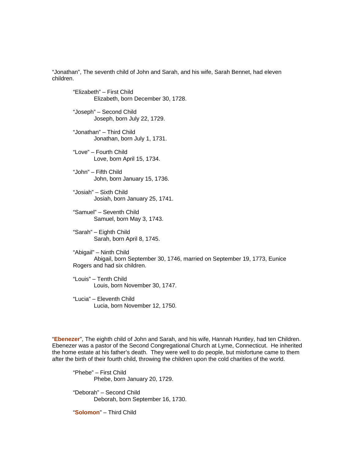"Jonathan", The seventh child of John and Sarah, and his wife, Sarah Bennet, had eleven children.

- "Elizabeth" First Child Elizabeth, born December 30, 1728. "Joseph" – Second Child Joseph, born July 22, 1729. "Jonathan" – Third Child Jonathan, born July 1, 1731. "Love" – Fourth Child Love, born April 15, 1734. "John" – Fifth Child John, born January 15, 1736.
- "Josiah" Sixth Child Josiah, born January 25, 1741.
- "Samuel" Seventh Child Samuel, born May 3, 1743.
- "Sarah" Eighth Child Sarah, born April 8, 1745.
- "Abigail" Ninth Child Abigail, born September 30, 1746, married on September 19, 1773, Eunice Rogers and had six children.
- "Louis" Tenth Child Louis, born November 30, 1747.
- "Lucia" Eleventh Child Lucia, born November 12, 1750.

"**Ebenezer**", The eighth child of John and Sarah, and his wife, Hannah Huntley, had ten Children. Ebenezer was a pastor of the Second Congregational Church at Lyme, Connecticut. He inherited the home estate at his father's death. They were well to do people, but misfortune came to them after the birth of their fourth child, throwing the children upon the cold charities of the world.

"Phebe" – First Child Phebe, born January 20, 1729.

"Deborah" – Second Child Deborah, born September 16, 1730.

"**Solomon**" – Third Child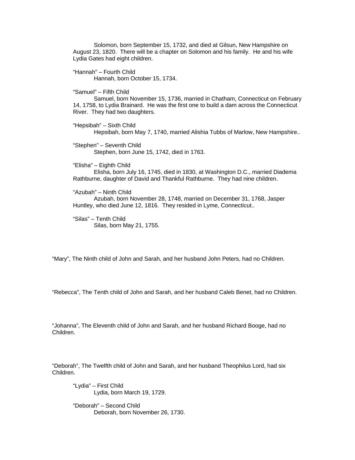Solomon, born September 15, 1732, and died at Gilsun, New Hampshire on August 23, 1820. There will be a chapter on Solomon and his family. He and his wife Lydia Gates had eight children.

"Hannah" – Fourth Child Hannah, born October 15, 1734.

"Samuel" – Fifth Child

 Samuel, born November 15, 1736, married in Chatham, Connecticut on February 14, 1758, to Lydia Brainard. He was the first one to build a dam across the Connecticut River. They had two daughters.

"Hepsibah" – Sixth Child Hepsibah, born May 7, 1740, married Alishia Tubbs of Marlow, New Hampshire..

"Stephen" – Seventh Child Stephen, born June 15, 1742, died in 1763.

"Elisha" – Eighth Child

 Elisha, born July 16, 1745, died in 1830, at Washington D.C., married Diadema Rathburne, daughter of David and Thankful Rathburne. They had nine children.

"Azubah" – Ninth Child Azubah, born November 28, 1748, married on December 31, 1768, Jasper Huntley, who died June 12, 1816. They resided in Lyme, Connecticut..

"Silas" – Tenth Child Silas, born May 21, 1755.

"Mary", The Ninth child of John and Sarah, and her husband John Peters, had no Children.

"Rebecca", The Tenth child of John and Sarah, and her husband Caleb Benet, had no Children.

"Johanna", The Eleventh child of John and Sarah, and her husband Richard Booge, had no Children.

"Deborah", The Twelfth child of John and Sarah, and her husband Theophilus Lord, had six Children.

"Lydia" – First Child Lydia, born March 19, 1729.

"Deborah" – Second Child Deborah, born November 26, 1730.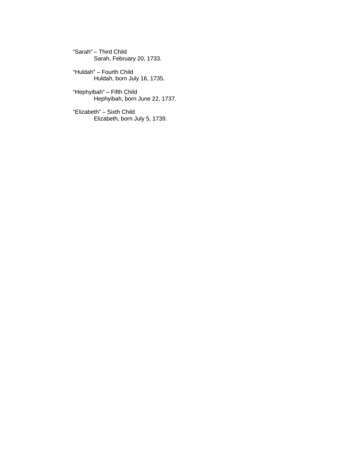"Sarah" – Third Child Sarah, February 20, 1733.

"Huldah" – Fourth Child Huldah, born July 16, 1735.

"Hephyibah" – Fifth Child Hephyibah, born June 22, 1737.

"Elizabeth" – Sixth Child Elizabeth, born July 5, 1739.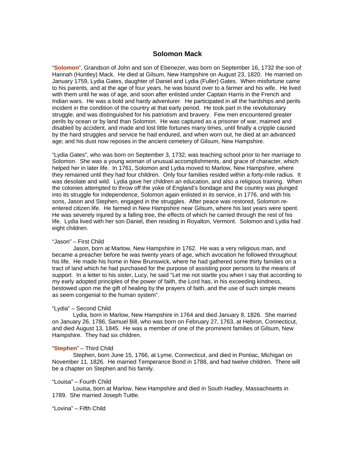# **Solomon Mack**

"**Solomon**", Grandson of John and son of Ebenezer, was born on September 16, 1732 the son of Hannah (Huntley) Mack. He died at Gilsum, New Hampshire on August 23, 1820. He married on January 1759, Lydia Gates, daughter of Daniel and Lydia (Fuller) Gates. When misfortune came to his parents, and at the age of four years, he was bound over to a farmer and his wife. He lived with them until he was of age, and soon after enlisted under Captain Harris in the French and Indian wars. He was a bold and hardy adventurer. He participated in all the hardships and perils incident in the condition of the country at that early period. He took part in the revolutionary struggle, and was distinguished for his patriotism and bravery. Few men encountered greater perils by ocean or by land than Solomon. He was captured as a prisoner of war, maimed and disabled by accident, and made and lost little fortunes many times, until finally a cripple caused by the hard struggles and service he had endured, and when worn out, he died at an advanced age; and his dust now reposes in the ancient cemetery of Gilsum, New Hampshire.

"Lydia Gates", who was born on September 3, 1732, was teaching school prior to her marriage to Solomon. She was a young woman of unusual accomplishments, and grace of character, which helped her in later life. In 1761, Solomon and Lydia moved to Marlow, New Hampshire, where they remained until they had four children. Only four families resided within a forty-mile radius. It was desolate and wild. Lydia gave her children an education, and also a religious training. When the colonies attempted to throw off the yoke of England's bondage and the country was plunged into its struggle for independence, Solomon again enlisted in its service, in 1776, and with his sons, Jason and Stephen, engaged in the struggles. After peace was restored, Solomon reentered citizen life. He farmed in New Hampshire near Gilsum, where his last years were spent. He was severely injured by a falling tree, the effects of which he carried through the rest of his life. Lydia lived with her son Daniel, then residing in Royalton, Vermont. Solomon and Lydia had eight children.

### "Jason" – First Child

 Jason, born at Marlow, New Hampshire in 1762. He was a very religious man, and became a preacher before he was twenty years of age, which avocation he followed throughout his life. He made his home in New Brunswick, where he had gathered some thirty families on a tract of land which he had purchased for the purpose of assisting poor persons to the means of support. In a letter to his sister, Lucy, he said "Let me not startle you when I say that according to my early adopted principles of the power of faith, the Lord has, in his exceeding kindness, bestowed upon me the gift of healing by the prayers of faith, and the use of such simple means as seem congenial to the human system".

# "Lydia" – Second Child

 Lydia, born in Marlow, New Hampshire in 1764 and died January 8, 1826. She married on January 26, 1786, Samuel Bill, who was born on February 27, 1763, at Hebron, Connecticut, and died August 13, 1845. He was a member of one of the prominent families of Gilsum, New Hampshire. They had six children.

# "**Stephen**" – Third Child

 Stephen, born June 15, 1766, at Lyme, Connecticut, and died in Pontiac, Michigan on November 11, 1826. He married Temperance Bond in 1788, and had twelve children. There will be a chapter on Stephen and his family.

### "Louisa" – Fourth Child

 Louisa, born at Marlow, New Hampshire and died in South Hadley, Massachisetts in 1789. She married Joseph Tuttle.

"Lovina" – Fifth Child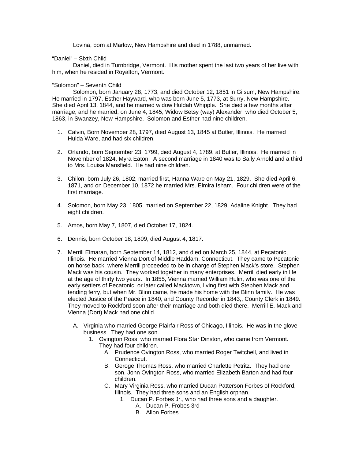Lovina, born at Marlow, New Hampshire and died in 1788, unmarried.

# "Daniel" – Sixth Child

 Daniel, died in Turnbridge, Vermont. His mother spent the last two years of her live with him, when he resided in Royalton, Vermont.

# "Solomon" – Seventh Child

 Solomon, born January 28, 1773, and died October 12, 1851 in Gilsum, New Hampshire. He married in 1797, Esther Hayward, who was born June 5, 1773, at Surry, New Hampshire. She died April 13, 1844, and he married widow Huldah Whipple. She died a few months after marriage, and he married, on June 4, 1845, Widow Betsy (way) Alexander, who died October 5, 1863, in Swanzey, New Hampshire. Solomon and Esther had nine children.

- 1. Calvin, Born November 28, 1797, died August 13, 1845 at Butler, Illinois. He married Hulda Ware, and had six children.
- 2. Orlando, born September 23, 1799, died August 4, 1789, at Butler, Illinois. He married in November of 1824, Myra Eaton. A second marriage in 1840 was to Sally Arnold and a third to Mrs. Louisa Mansfield. He had nine children.
- 3. Chilon, born July 26, 1802, married first, Hanna Ware on May 21, 1829. She died April 6, 1871, and on December 10, 1872 he married Mrs. Elmira Isham. Four children were of the first marriage.
- 4. Solomon, born May 23, 1805, married on September 22, 1829, Adaline Knight. They had eight children.
- 5. Amos, born May 7, 1807, died October 17, 1824.
- 6. Dennis, born October 18, 1809, died August 4, 1817.
- 7. Merrill Elmaran, born September 14, 1812, and died on March 25, 1844, at Pecatonic, Illinois. He married Vienna Dort of Middle Haddam, Connecticut. They came to Pecatonic on horse back, where Merrill proceeded to be in charge of Stephen Mack's store. Stephen Mack was his cousin. They worked together in many enterprises. Merrill died early in life at the age of thirty two years. In 1855, Vienna married William Hulin, who was one of the early settlers of Pecatonic, or later called Macktown, living first with Stephen Mack and tending ferry, but when Mr. Blinn came, he made his home with the Blinn family. He was elected Justice of the Peace in 1840, and County Recorder in 1843,, County Clerk in 1849. They moved to Rockford soon after their marriage and both died there. Merrill E. Mack and Vienna (Dort) Mack had one child.
	- A. Virginia who married George Plairfair Ross of Chicago, Illinois. He was in the glove business. They had one son.
		- 1. Ovington Ross, who married Flora Star Dinston, who came from Vermont. They had four children.
			- A. Prudence Ovington Ross, who married Roger Twitchell, and lived in Connecticut.
			- B. Geroge Thomas Ross, who married Charlette Petritz. They had one son, John Ovington Ross, who married Elizabeth Barton and had four children.
			- C. Mary Virginia Ross, who married Ducan Patterson Forbes of Rockford, Illinois. They had three sons and an English orphan.
				- 1. Ducan P. Forbes Jr., who had three sons and a daughter.
					- A. Ducan P. Frobes 3rd
					- B. Allon Forbes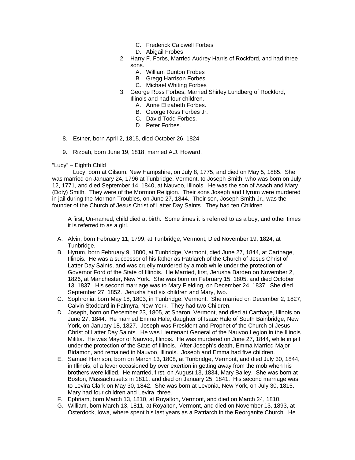- C. Frederick Caldwell Forbes
- D. Abigail Frobes
- 2. Harry F. Forbs, Married Audrey Harris of Rockford, and had three sons.
	- A. William Dunton Frobes
	- B. Gregg Harrison Forbes
	- C. Michael Whiting Forbes
- 3. George Ross Forbes, Married Shirley Lundberg of Rockford, Illinois and had four children.
	- A. Anne Elizabeth Forbes.
	- B. George Ross Forbes Jr.
	- C. David Todd Forbes.
	- D. Peter Forbes.
- 8. Esther, born April 2, 1815, died October 26, 1824
- 9. Rizpah, born June 19, 1818, married A.J. Howard.

# "Lucy" – Eighth Child

 Lucy, born at Gilsum, New Hampshire, on July 8, 1775, and died on May 5, 1885. She was married on January 24, 1796 at Tunbridge, Vermont, to Joseph Smith, who was born on July 12, 1771, and died September 14, 1840, at Nauvoo, Illinois. He was the son of Asach and Mary (Doty) Smith. They were of the Mormon Religion. Their sons Joseph and Hyrum were murdered in jail during the Mormon Troubles, on June 27, 1844. Their son, Joseph Smith Jr., was the founder of the Church of Jesus Christ of Latter Day Saints. They had ten Children.

A first, Un-named, child died at birth. Some times it is referred to as a boy, and other times it is referred to as a girl.

- A. Alvin, born February 11, 1799, at Tunbridge, Vermont, Died November 19, 1824, at Tunbridge.
- B. Hyrum, born February 9, 1800, at Tunbridge, Vermont, died June 27, 1844, at Carthage, Illinois. He was a successor of his father as Patriarch of the Church of Jesus Christ of Latter Day Saints, and was cruelly murdered by a mob while under the protection of Governor Ford of the State of Illinois. He Married, first, Jerusha Barden on November 2, 1826, at Manchester, New York. She was born on February 15, 1805, and died October 13, 1837. His second marriage was to Mary Fielding, on December 24, 1837. She died September 27, 1852. Jerusha had six children and Mary, two.
- C. Sophronia, born May 18, 1803, in Tunbridge, Vermont. She married on December 2, 1827, Calvin Stoddard in Palmyra, New York. They had two Children.
- D. Joseph, born on December 23, 1805, at Sharon, Vermont, and died at Carthage, Illinois on June 27, 1844. He married Emma Hale, daughter of Isaac Hale of South Bainbridge, New York, on January 18, 1827. Joseph was President and Prophet of the Church of Jesus Christ of Latter Day Saints. He was Lieutenant General of the Nauvoo Legion in the Illinois Militia. He was Mayor of Nauvoo, Illinois. He was murdered on June 27, 1844, while in jail under the protection of the State of Illinois. After Joseph's death, Emma Married Major Bidamon, and remained in Nauvoo, Illinois. Joseph and Emma had five children.
- E. Samuel Harrison, born on March 13, 1808, at Tunbridge, Vermont, and died July 30, 1844, in Illinois, of a fever occasioned by over exertion in getting away from the mob when his brothers were killed. He married, first, on August 13, 1834, Mary Bailey. She was born at Boston, Massachusetts in 1811, and died on January 25, 1841. His second marriage was to Levira Clark on May 30, 1842. She was born at Levonia, New York, on July 30, 1815. Mary had four children and Levira, three.
- F. Ephriam, born March 13, 1810, at Royalton, Vermont, and died on March 24, 1810.
- G. William, born March 13, 1811, at Royalton, Vermont, and died on November 13, 1893, at Osterdock, Iowa, where spent his last years as a Patriarch in the Reorganite Church. He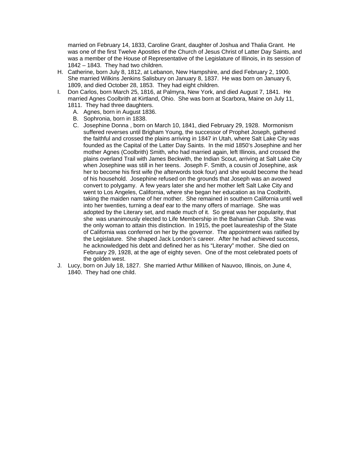married on February 14, 1833, Caroline Grant, daughter of Joshua and Thalia Grant. He was one of the first Twelve Apostles of the Church of Jesus Christ of Latter Day Saints, and was a member of the House of Representative of the Legislature of Illinois, in its session of 1842 – 1843. They had two children.

- H. Catherine, born July 8, 1812, at Lebanon, New Hampshire, and died February 2, 1900. She married Wilkins Jenkins Salisbury on January 8, 1837. He was born on January 6, 1809, and died October 28, 1853. They had eight children.
- I. Don Carlos, born March 25, 1816, at Palmyra, New York, and died August 7, 1841. He married Agnes Coolbrith at Kirtland, Ohio. She was born at Scarbora, Maine on July 11, 1811. They had three daughters.
	- A. Agnes, born in August 1836.
	- B. Sophronia, born in 1838.
	- C. Josephine Donna , born on March 10, 1841, died February 29, 1928. Mormonism suffered reverses until Brigham Young, the successor of Prophet Joseph, gathered the faithful and crossed the plains arriving in 1847 in Utah, where Salt Lake City was founded as the Capital of the Latter Day Saints. In the mid 1850's Josephine and her mother Agnes (Coolbrith) Smith, who had married again, left Illinois, and crossed the plains overland Trail with James Beckwith, the Indian Scout, arriving at Salt Lake City when Josephine was still in her teens. Joseph F. Smith, a cousin of Josephine, ask her to become his first wife (he afterwords took four) and she would become the head of his household. Josephine refused on the grounds that Joseph was an avowed convert to polygamy. A few years later she and her mother left Salt Lake City and went to Los Angeles, California, where she began her education as Ina Coolbrith, taking the maiden name of her mother. She remained in southern California until well into her twenties, turning a deaf ear to the many offers of marriage. She was adopted by the Literary set, and made much of it. So great was her popularity, that she was unanimously elected to Life Membership in the Bahamian Club. She was the only woman to attain this distinction. In 1915, the poet laureateship of the State of California was conferred on her by the governor. The appointment was ratified by the Legislature. She shaped Jack London's career. After he had achieved success, he acknowledged his debt and defined her as his "Literary" mother. She died on February 29, 1928, at the age of eighty seven. One of the most celebrated poets of the golden west.
- J. Lucy, born on July 18, 1827. She married Arthur Milliken of Nauvoo, Illinois, on June 4, 1840. They had one child.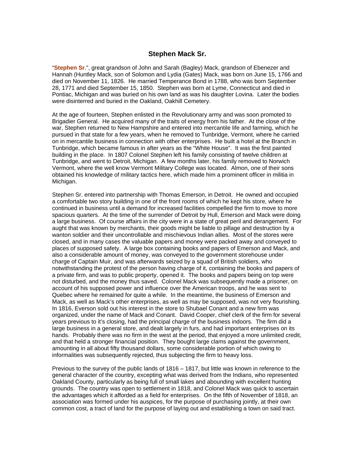# **Stephen Mack Sr.**

"**Stephen Sr**.", great grandson of John and Sarah (Bagley) Mack, grandson of Ebenezer and Hannah (Huntley Mack, son of Solomon and Lydia (Gates) Mack, was born on June 15, 1766 and died on November 11, 1826. He married Temperance Bond in 1788, who was born September 28, 1771 and died September 15, 1850. Stephen was born at Lyme, Connecticut and died in Pontiac, Michigan and was buried on his own land as was his daughter Lovina. Later the bodies were disinterred and buried in the Oakland, Oakhill Cemetery.

At the age of fourteen, Stephen enlisted in the Revolutionary army and was soon promoted to Brigadier General. He acquired many of the traits of energy from his father. At the close of the war, Stephen returned to New Hampshire and entered into mercantile life and farming, which he pursued in that state for a few years, when he removed to Tunbridge, Vermont, where he carried on in mercantile business in connection with other enterprises. He built a hotel at the Branch in Tunbridge, which became famous in after years as the "White House". It was the first painted building in the place. In 1807 Colonel Stephen left his family consisting of twelve children at Tunbridge, and went to Detroit, Michigan. A few months later, his family removed to Norwich Vermont, where the well know Vermont Military College was located. Almon, one of their sons obtained his knowledge of military tactics here, which made him a prominent officer in militia in Michigan.

Stephen Sr. entered into partnership with Thomas Emerson, in Detroit. He owned and occupied a comfortable two story building in one of the front rooms of which he kept his store, where he continued in business until a demand for increased facilities compelled the firm to move to more spacious quarters. At the time of the surrender of Detroit by Hull, Emerson and Mack were doing a large business. Of course affairs in the city were in a state of great peril and derangement. For aught that was known by merchants, their goods might be liable to pillage and destruction by a wanton soldier and their uncontrollable and mischievous Indian allies. Most of the stores were closed, and in many cases the valuable papers and money were packed away and conveyed to places of supposed safety. A large box containing books and papers of Emerson and Mack, and also a considerable amount of money, was conveyed to the government storehouse under charge of Captain Muir, and was afterwards seized by a squad of British soldiers, who notwithstanding the protest of the person having charge of it, containing the books and papers of a private firm, and was to public property, opened it. The books and papers being on top were not disturbed, and the money thus saved. Colonel Mack was subsequently made a prisoner, on account of his supposed power and influence over the American troops, and he was sent to Quebec where he remained for quite a while. In the meantime, the business of Emerson and Mack, as well as Mack's other enterprises, as well as may be supposed, was not very flourishing. In 1816, Everson sold out his interest in the store to Shubael Conant and a new firm was organized, under the name of Mack and Conant. David Cooper, chief clerk of the firm for several years previous to it's closing, had the principal charge of the business indoors. The firm did a large business in a general store, and dealt largely in furs, and had important enterprises on its hands. Probably there was no firm in the west at the period, that enjoyed a more unlimited credit, and that held a stronger financial position. They bought large clams against the government, amounting in all about fifty thousand dollars, some considerable portion of which owing to informalities was subsequently rejected, thus subjecting the firm to heavy loss.

Previous to the survey of the public lands of 1816 – 1817, but little was known in reference to the general character of the country, excepting what was derived from the Indians, who represented Oakland County, particularly as being full of small lakes and abounding with excellent hunting grounds. The country was open to settlement in 1818, and Colonel Mack was quick to ascertain the advantages which it afforded as a field for enterprises. On the fifth of November of 1818, an association was formed under his auspices, for the purpose of purchasing jointly, at their own common cost, a tract of land for the purpose of laying out and establishing a town on said tract.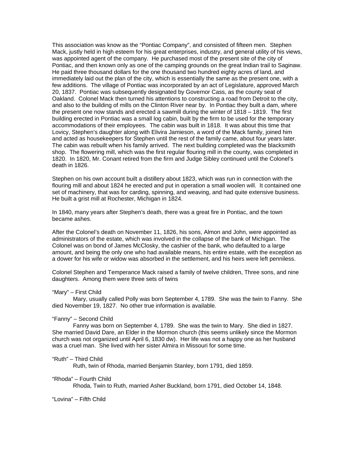This association was know as the "Pontiac Company", and consisted of fifteen men. Stephen Mack, justly held in high esteem for his great enterprises, industry, and general utility of his views, was appointed agent of the company. He purchased most of the present site of the city of Pontiac, and then known only as one of the camping grounds on the great Indian trail to Saginaw. He paid three thousand dollars for the one thousand two hundred eighty acres of land, and immediately laid out the plan of the city, which is essentially the same as the present one, with a few additions. The village of Pontiac was incorporated by an act of Legislature, approved March 20, 1837. Pontiac was subsequently designated by Governor Cass, as the county seat of Oakland. Colonel Mack then turned his attentions to constructing a road from Detroit to the city, and also to the building of mills on the Clinton River near by. In Pontiac they built a dam, where the present one now stands and erected a sawmill during the winter of 1818 – 1819. The first building erected in Pontiac was a small log cabin, built by the firm to be used for the temporary accommodations of their employees. The cabin was built in 1818. It was about this time that Lovicy, Stephen's daughter along with Elivira Jamieson, a word of the Mack family, joined him and acted as housekeepers for Stephen until the rest of the family came, about four years later. The cabin was rebuilt when his family arrived. The next building completed was the blacksmith shop. The flowering mill, which was the first regular flouring mill in the county, was completed in 1820. In 1820, Mr. Conant retired from the firm and Judge Sibley continued until the Colonel's death in 1826.

Stephen on his own account built a distillery about 1823, which was run in connection with the flouring mill and about 1824 he erected and put in operation a small woolen will. It contained one set of machinery, that was for carding, spinning, and weaving, and had quite extensive business. He built a grist mill at Rochester, Michigan in 1824.

In 1840, many years after Stephen's death, there was a great fire in Pontiac, and the town became ashes.

After the Colonel's death on November 11, 1826, his sons, Almon and John, were appointed as administrators of the estate, which was involved in the collapse of the bank of Michigan. The Colonel was on bond of James McClosky, the cashier of the bank, who defaulted to a large amount, and being the only one who had available means, his entire estate, with the exception as a dower for his wife or widow was absorbed in the settlement, and his heirs were left penniless.

Colonel Stephen and Temperance Mack raised a family of twelve children, Three sons, and nine daughters. Among them were three sets of twins

#### "Mary" – First Child

 Mary, usually called Polly was born September 4, 1789. She was the twin to Fanny. She died November 19, 1827. No other true information is available.

### "Fanny" – Second Child

 Fanny was born on September 4, 1789. She was the twin to Mary. She died in 1827. She married David Dare, an Elder in the Mormon church (this seems unlikely since the Mormon church was not organized until April 6, 1830 dw). Her life was not a happy one as her husband was a cruel man. She lived with her sister Almira in Missouri for some time.

#### "Ruth" – Third Child

Ruth, twin of Rhoda, married Benjamin Stanley, born 1791, died 1859.

#### "Rhoda" – Fourth Child

Rhoda, Twin to Ruth, married Asher Buckland, born 1791, died October 14, 1848.

# "Lovina" – Fifth Child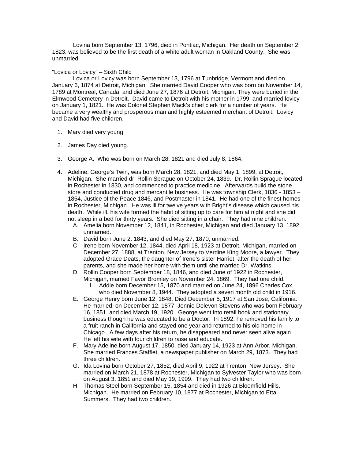Lovina born September 13, 1796, died in Pontiac, Michigan. Her death on September 2, 1823, was believed to be the first death of a white adult woman in Oakland County. She was unmarried.

# "Lovica or Lovicy" – Sixth Child

 Lovica or Lovicy was born September 13, 1796 at Tunbridge, Vermont and died on January 6, 1874 at Detroit, Michigan. She married David Cooper who was born on November 14, 1789 at Montreal, Canada, and died June 27, 1876 at Detroit, Michigan. They were buried in the Elmwood Cemetery in Detroit. David came to Detroit with his mother in 1799, and married lovicy on January 1, 1821. He was Colonel Stephen Mack's chief clerk for a number of years. He became a very wealthy and prosperous man and highly esteemed merchant of Detroit. Lovicy and David had five children.

- 1. Mary died very young
- 2. James Day died young.
- 3. George A. Who was born on March 28, 1821 and died July 8, 1864.
- 4. Adeline, George's Twin, was born March 28, 1821, and died May 1, 1899, at Detroit, Michigan. She married dr. Rollin Sprague on October 24, 1839. Dr. Rollin Sprague located in Rochester in 1830, and commenced to practice medicine. Afterwards build the stone store and conducted drug and mercantile business. He was township Clerk, 1836 - 1853 – 1854, Justice of the Peace 1846, and Postmaster in 1841. He had one of the finest homes in Rochester, Michigan. He was ill for twelve years with Bright's disease which caused his death. While ill, his wife formed the habit of sitting up to care for him at night and she did not sleep in a bed for thirty years. She died sitting in a chair. They had nine children.
	- A. Amelia born November 12, 1841, in Rochester, Michigan and died January 13, 1892, unmarried.
	- B. David born June 2, 1843, and died May 27, 1870, unmarried.
	- C. Irene born November 12, 1844, died April 18, 1923 at Detroit, Michigan, married on December 27, 1888, at Trenton, New Jersey to Verdine King Moore, a lawyer. They adopted Grace Deats, the daughter of Irene's sister Harriet, after the death of her parents, and she made her home with them until she married Dr. Watkins.
	- D. Rollin Cooper born September 18, 1846, and died June of 1922 in Rochester, Michigan, married Favor Bromley on November 24, 1869. They had one child.
		- 1. Addie born December 15, 1870 and married on June 24, 1896 Charles Cox, who died November 8, 1944. They adopted a seven month old child in 1916.
	- E. George Henry born June 12, 1848, Died December 5, 1917 at San Jose, California. He married, on December 12, 1877, Jennie Delevon Stevens who was born February 16, 1851, and died March 19, 1920. George went into retail book and stationary business though he was educated to be a Doctor. In 1892, he removed his family to a fruit ranch in California and stayed one year and returned to his old home in Chicago. A few days after his return, he disappeared and never seen alive again. He left his wife with four children to raise and educate.
	- F. Mary Adeline born August 17, 1850, died January 14, 1923 at Ann Arbor, Michigan. She married Frances Stafflet, a newspaper publisher on March 29, 1873. They had three children.
	- G. Ida Lovina born October 27, 1852, died April 9, 1922 at Trenton, New Jersey. She married on March 21, 1878 at Rochester, Michigan to Sylvester Taylor who was born on August 3, 1851 and died May 19, 1909. They had two children.
	- H. Thomas Steel born September 15, 1854 and died in 1926 at Bloomfield Hills, Michigan. He married on February 10, 1877 at Rochester, Michigan to Etta Summers. They had two children.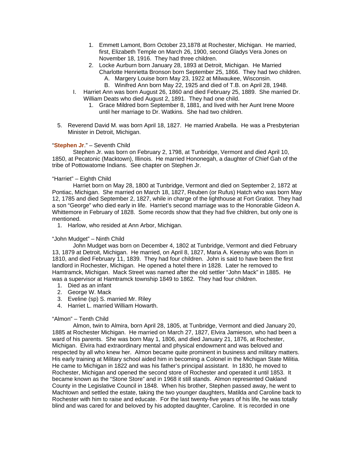- 1. Emmett Lamont, Born October 23,1878 at Rochester, Michigan. He married, first, Elizabeth Temple on March 26, 1900, second Gladys Vera Jones on November 18, 1916. They had three children.
- 2. Locke Aurburn born January 28, 1893 at Detroit, Michigan. He Married Charlotte Henrietta Bronson born September 25, 1866. They had two children.
	- A. Margery Louise born May 23, 1922 at Milwaukee, Wisconsin.
	- B. Winifred Ann born May 22, 1925 and died of T.B. on April 28, 1948.
- I. Harriet Ann was born August 26, 1860 and died February 25, 1889. She married Dr. William Deats who died August 2, 1891. They had one child.
	- 1. Grace Mildred born September 8, 1881, and lived with her Aunt Irene Moore until her marriage to Dr. Watkins. She had two children.
- 5. Reverend David M. was born April 18, 1827. He married Arabella. He was a Presbyterian Minister in Detroit, Michigan.

# "**Stephen Jr**." – Seventh Child

 Stephen Jr. was born on February 2, 1798, at Tunbridge, Vermont and died April 10, 1850, at Pecatonic (Macktown), Illinois. He married Hononegah, a daughter of Chief Gah of the tribe of Pottowatome Indians. See chapter on Stephen Jr.

# "Harriet" – Eighth Child

 Harriet born on May 28, 1800 at Tunbridge, Vermont and died on September 2, 1872 at Pontiac, Michigan. She married on March 18, 1827, Reuben (or Rufus) Hatch who was born May 12, 1785 and died September 2, 1827, while in charge of the lighthouse at Fort Gratiot. They had a son "George" who died early in life. Harriet's second marriage was to the Honorable Gideon A. Whittemore in February of 1828. Some records show that they had five children, but only one is mentioned.

1. Harlow, who resided at Ann Arbor, Michigan.

### "John Mudget" – Ninth Child

 John Mudget was born on December 4, 1802 at Tunbridge, Vermont and died February 13, 1879 at Detroit, Michigan. He married, on April 8, 1827, Maria A. Keenay who was Born in 1810, and died February 11, 1839. They had four children. John is said to have been the first landlord in Rochester, Michigan. He opened a hotel there in 1828. Later he removed to Hamtramck, Michigan. Mack Street was named after the old settler "John Mack" in 1885. He was a supervisor at Hamtramck township 1849 to 1862. They had four children.

- 1. Died as an infant
- 2. George W. Mack
- 3. Eveline (sp) S. married Mr. Riley
- 4. Harriet L. married William Howarth.

## "Almon" – Tenth Child

 Almon, twin to Almira, born April 28, 1805, at Tunbridge, Vermont and died January 20, 1885 at Rochester Michigan. He married on March 27, 1827, Elvira Jamieson, who had been a ward of his parents. She was born May 1, 1806, and died January 21, 1876, at Rochester, Michigan. Elvira had extraordinary mental and physical endowment and was beloved and respected by all who knew her. Almon became quite prominent in business and military matters. His early training at Military school aided him in becoming a Colonel in the Michigan State Militia. He came to Michigan in 1822 and was his father's principal assistant. In 1830, he moved to Rochester, Michigan and opened the second store of Rochester and operated it until 1853. It became known as the "Stone Store" and in 1968 it still stands. Almon represented Oakland County in the Legislative Council in 1848. When his brother, Stephen passed away, he went to Machtown and settled the estate, taking the two younger daughters, Matilda and Caroline back to Rochester with him to raise and educate. For the last twenty-five years of his life, he was totally blind and was cared for and beloved by his adopted daughter, Caroline. It is recorded in one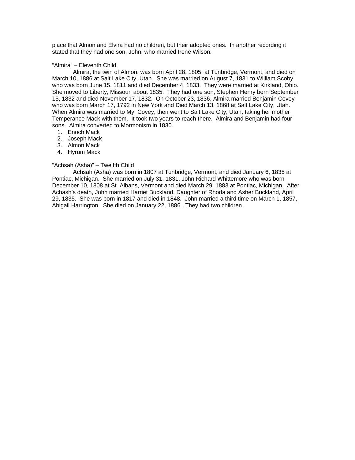place that Almon and Elvira had no children, but their adopted ones. In another recording it stated that they had one son, John, who married Irene Wilson.

# "Almira" – Eleventh Child

 Almira, the twin of Almon, was born April 28, 1805, at Tunbridge, Vermont, and died on March 10, 1886 at Salt Lake City, Utah. She was married on August 7, 1831 to William Scoby who was born June 15, 1811 and died December 4, 1833. They were married at Kirkland, Ohio. She moved to Liberty, Missouri about 1835. They had one son, Stephen Henry born September 15, 1832 and died November 17, 1832. On October 23, 1836, Almira married Benjamin Covey who was born March 17, 1792 in New York and Died March 13, 1868 at Salt Lake City, Utah. When Almira was married to My. Covey, then went to Salt Lake City, Utah, taking her mother Temperance Mack with them. It took two years to reach there. Almira and Benjamin had four sons. Almira converted to Mormonism in 1830.

- 1. Enoch Mack
- 2. Joseph Mack
- 3. Almon Mack
- 4. Hyrum Mack

# "Achsah (Asha)" – Twelfth Child

 Achsah (Asha) was born in 1807 at Tunbridge, Vermont, and died January 6, 1835 at Pontiac, Michigan. She married on July 31, 1831, John Richard Whittemore who was born December 10, 1808 at St. Albans, Vermont and died March 29, 1883 at Pontiac, Michigan. After Achash's death, John married Harriet Buckland, Daughter of Rhoda and Asher Buckland, April 29, 1835. She was born in 1817 and died in 1848. John married a third time on March 1, 1857, Abigail Harrington. She died on January 22, 1886. They had two children.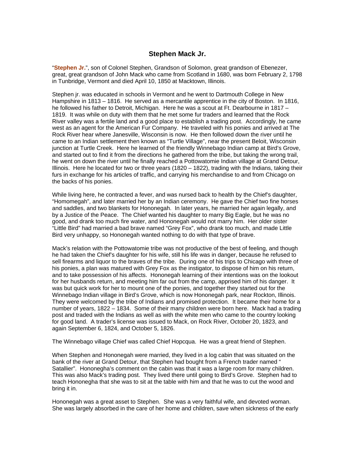# **Stephen Mack Jr.**

"**Stephen Jr.**", son of Colonel Stephen, Grandson of Solomon, great grandson of Ebenezer, great, great grandson of John Mack who came from Scotland in 1680, was born February 2, 1798 in Tunbridge, Vermont and died April 10, 1850 at Macktown, Illinois.

Stephen jr. was educated in schools in Vermont and he went to Dartmouth College in New Hampshire in 1813 – 1816. He served as a mercantile apprentice in the city of Boston. In 1816, he followed his father to Detroit, Michigan. Here he was a scout at Ft. Dearbourne in 1817 – 1819. It was while on duty with them that he met some fur traders and learned that the Rock River valley was a fertile land and a good place to establish a trading post. Accordingly, he came west as an agent for the American Fur Company. He traveled with his ponies and arrived at The Rock River hear where Janesville, Wisconsin is now. He then followed down the river until he came to an Indian settlement then known as "Turtle Village", near the present Beloit, Wisconsin junction at Turtle Creek. Here he learned of the friendly Winnebago Indian camp at Bird's Grove, and started out to find it from the directions he gathered from the tribe, but taking the wrong trail, he went on down the river until he finally reached a Pottowatomie Indian village at Grand Detour, Illinois. Here he located for two or three years (1820 – 1822), trading with the Indians, taking their furs in exchange for his articles of traffic, and carrying his merchandise to and from Chicago on the backs of his ponies.

While living here, he contracted a fever, and was nursed back to health by the Chief's daughter, "Homomegah", and later married her by an Indian ceremony. He gave the Chief two fine horses and saddles, and two blankets for Hononegah. In later years, he married her again legally, and by a Justice of the Peace. The Chief wanted his daughter to marry Big Eagle, but he was no good, and drank too much fire water, and Hononegah would not marry him. Her older sister "Little Bird" had married a bad brave named "Grey Fox", who drank too much, and made Little Bird very unhappy, so Hononegah wanted nothing to do with that type of brave.

Mack's relation with the Pottowatomie tribe was not productive of the best of feeling, and though he had taken the Chief's daughter for his wife, still his life was in danger, because he refused to sell firearms and liquor to the braves of the tribe. During one of his trips to Chicago with three of his ponies, a plan was matured with Grey Fox as the instigator, to dispose of him on his return, and to take possession of his affects. Hononegah learning of their intentions was on the lookout for her husbands return, and meeting him far out from the camp, apprised him of his danger. It was but quick work for her to mount one of the ponies, and together they started out for the Winnebago Indian village in Bird's Grove, which is now Hononegah park, near Rockton, Illinois. They were welcomed by the tribe of Indians and promised protection. It became their home for a number of years, 1822 – 1834. Some of their many children were born here. Mack had a trading post and traded with the Indians as well as with the white men who came to the country looking for good land. A trader's license was issued to Mack, on Rock River, October 20, 1823, and again September 6, 1824, and October 5, 1826.

The Winnebago village Chief was called Chief Hopcqua. He was a great friend of Stephen.

When Stephen and Hononegah were married, they lived in a log cabin that was situated on the bank of the river at Grand Detour, that Stephen had bought from a French trader named " Satallier". Hononegha's comment on the cabin was that it was a large room for many children. This was also Mack's trading post. They lived there until going to Bird's Grove. Stephen had to teach Hononegha that she was to sit at the table with him and that he was to cut the wood and bring it in.

Hononegah was a great asset to Stephen. She was a very faithful wife, and devoted woman. She was largely absorbed in the care of her home and children, save when sickness of the early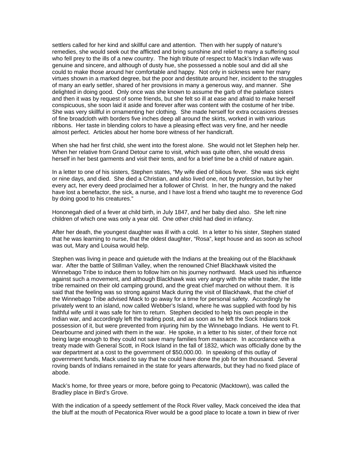settlers called for her kind and skillful care and attention. Then with her supply of nature's remedies, she would seek out the afflicted and bring sunshine and relief to many a suffering soul who fell prey to the ills of a new country. The high tribute of respect to Mack's Indian wife was genuine and sincere, and although of dusty hue, she possessed a noble soul and did all she could to make those around her comfortable and happy. Not only in sickness were her many virtues shown in a marked degree, but the poor and destitute around her, incident to the struggles of many an early settler, shared of her provisions in many a generous way, and manner. She delighted in doing good. Only once was she known to assume the garb of the paleface sisters and then it was by request of some friends, but she felt so ill at ease and afraid to make herself conspicuous, she soon laid it aside and forever after was content with the costume of her tribe. She was very skillful in ornamenting her clothing. She made herself for extra occasions dresses of fine broadcloth with borders five inches deep all around the skirts, worked in with various ribbons. Her taste in blending colors to have a pleasing effect was very fine, and her needle almost perfect. Articles about her home bore witness of her handicraft.

When she had her first child, she went into the forest alone. She would not let Stephen help her. When her relative from Grand Detour came to visit, which was quite often, she would dress herself in her best garments and visit their tents, and for a brief time be a child of nature again.

In a letter to one of his sisters, Stephen states, "My wife died of bilious fever. She was sick eight or nine days, and died. She died a Christian, and also lived one, not by profession, but by her every act, her every deed proclaimed her a follower of Christ. In her, the hungry and the naked have lost a benefactor, the sick, a nurse, and I have lost a friend who taught me to reverence God by doing good to his creatures."

Hononegah died of a fever at child birth, in July 1847, and her baby died also. She left nine children of which one was only a year old. One other child had died in infancy.

After her death, the youngest daughter was ill with a cold. In a letter to his sister, Stephen stated that he was learning to nurse, that the oldest daughter, "Rosa", kept house and as soon as school was out, Mary and Louisa would help.

Stephen was living in peace and quietude with the Indians at the breaking out of the Blackhawk war. After the battle of Stillman Valley, when the renowned Chief Blackhawk visited the Winnebago Tribe to induce them to follow him on his journey northward. Mack used his influence against such a movement, and although Blackhawk was very angry with the white trader, the little tribe remained on their old camping ground, and the great chief marched on without them. It is said that the feeling was so strong against Mack during the visit of Blackhawk, that the chief of the Winnebago Tribe advised Mack to go away for a time for personal safety. Accordingly he privately went to an island, now called Webber's Island, where he was supplied with food by his faithful wife until it was safe for him to return. Stephen decided to help his own people in the Indian war, and accordingly left the trading post, and as soon as he left the Sock Indians took possession of it, but were prevented from injuring him by the Winnebago Indians. He went to Ft. Dearbourne and joined with them in the war. He spoke, in a letter to his sister, of their force not being large enough to they could not save many families from massacre. In accordance with a treaty made with General Scott, in Rock Island in the fall of 1832, which was officially done by the war department at a cost to the government of \$50,000.00. In speaking of this outlay of government funds, Mack used to say that he could have done the job for ten thousand. Several roving bands of Indians remained in the state for years afterwards, but they had no fixed place of abode.

Mack's home, for three years or more, before going to Pecatonic (Macktown), was called the Bradley place in Bird's Grove.

With the indication of a speedy settlement of the Rock River valley, Mack conceived the idea that the bluff at the mouth of Pecatonica River would be a good place to locate a town in biew of river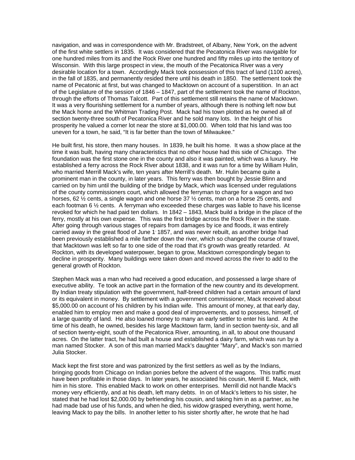navigation, and was in correspondence with Mr. Bradstreet, of Albany, New York, on the advent of the first white settlers in 1835. It was considered that the Pecatonica River was navigable for one hundred miles from its and the Rock River one hundred and fifty miles up into the territory of Wisconsin. With this large prospect in view, the mouth of the Pecatonica River was a very desirable location for a town. Accordingly Mack took possession of this tract of land (1100 acres), in the fall of 1835, and permanently resided there until his death in 1850. The settlement took the name of Pecatonic at first, but was changed to Macktown on account of a superstition. In an act of the Legislature of the session of 1846 – 1847, part of the settlement took the name of Rockton, through the efforts of Thomas Talcott. Part of this settlement still retains the name of Macktown. It was a very flourishing settlement for a number of years, although there is nothing left now but the Mack home and the Whitman Trading Post. Mack had his town plotted as he owned all of section twenty-three south of Pecatonica River and he sold many lots. In the height of his prosperity he valued a corner lot near the store at \$1,000.00. When told that his land was too uneven for a town, he said, "It is far better than the town of Milwaukee."

He built first, his store, then many houses. In 1839, he built his home. It was a show place at the time it was built, having many characteristics that no other house had this side of Chicago. The foundation was the first stone one in the county and also it was painted, which was a luxury. He established a ferry across the Rock River about 1838, and it was run for a time by William Hulin, who married Merrill Mack's wife, ten years after Merrill's death. Mr. Hulin became quite a prominent man in the county, in later years. This ferry was then bought by Jessie Blinn and carried on by him until the building of the bridge by Mack, which was licensed under regulations of the county commissioners court, which allowed the ferryman to charge for a wagon and two horses, 62 ½ cents, a single wagon and one horse 37 ½ cents, man on a horse 25 cents, and each footman 6 ½ cents. A ferryman who exceeded these charges was liable to have his license revoked for which he had paid ten dollars. In 1842 – 1843, Mack build a bridge in the place of the ferry, mostly at his own expense. This was the first bridge across the Rock River in the state. After going through various stages of repairs from damages by ice and floods, it was entirely carried away in the great flood of June 1: 1857, and was never rebuilt, as another bridge had been previously established a mile farther down the river, which so changed the course of travel, that Macktown was left so far to one side of the road that it's growth was greatly retarded. At Rockton, with its developed waterpower, began to grow, Macktown correspondingly began to decline in prosperity. Many buildings were taken down and moved across the river to add to the general growth of Rockton.

Stephen Mack was a man who had received a good education, and possessed a large share of executive ability. Te took an active part in the formation of the new country and its development. By Indian treaty stipulation with the government, half-breed children had a certain amount of land or its equivalent in money. By settlement with a government commissioner, Mack received about \$5,000.00 on account of his children by his Indian wife. This amount of money, at that early day, enabled him to employ men and make a good deal of improvements, and to possess, himself, of a large quantity of land. He also loaned money to many an early settler to enter his land. At the time of his death, he owned, besides his large Macktown farm, land in section twenty-six, and all of section twenty-eight, south of the Pecatonica River, amounting, in all, to about one thousand acres. On the latter tract, he had built a house and established a dairy farm, which was run by a man named Stocker. A son of this man married Mack's daughter "Mary", and Mack's son married Julia Stocker.

Mack kept the first store and was patronized by the first settlers as well as by the Indians, bringing goods from Chicago on Indian ponies before the advent of the wagons. This traffic must have been profitable in those days. In later years, he associated his cousin, Merrill E. Mack, with him in his store. This enabled Mack to work on other enterprises. Merrill did not handle Mack's money very efficiently, and at his death, left many debts. In on of Mack's letters to his sister, he stated that he had lost \$2,000.00 by befriending his cousin, and taking him in as a partner, as he had made bad use of his funds, and when he died, his widow grasped everything, went home, leaving Mack to pay the bills. In another letter to his sister shortly after, he wrote that he had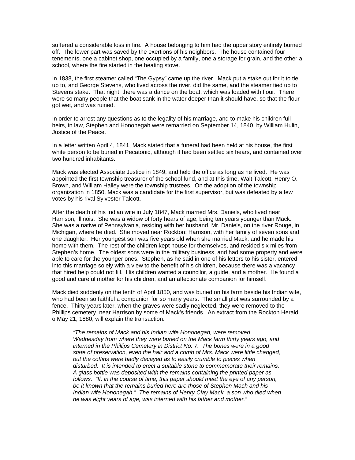suffered a considerable loss in fire. A house belonging to him had the upper story entirely burned off. The lower part was saved by the exertions of his neighbors. The house contained four tenements, one a cabinet shop, one occupied by a family, one a storage for grain, and the other a school, where the fire started in the heating stove.

In 1838, the first steamer called "The Gypsy" came up the river. Mack put a stake out for it to tie up to, and George Stevens, who lived across the river, did the same, and the steamer tied up to Stevens stake. That night, there was a dance on the boat, which was loaded with flour. There were so many people that the boat sank in the water deeper than it should have, so that the flour got wet, and was ruined.

In order to arrest any questions as to the legality of his marriage, and to make his children full heirs, in law, Stephen and Hononegah were remarried on September 14, 1840, by William Hulin, Justice of the Peace.

In a letter written April 4, 1841, Mack stated that a funeral had been held at his house, the first white person to be buried in Pecatonic, although it had been settled six hears, and contained over two hundred inhabitants.

Mack was elected Associate Justice in 1849, and held the office as long as he lived. He was appointed the first township treasurer of the school fund, and at this time, Walt Talcott, Henry O. Brown, and William Halley were the township trustees. On the adoption of the township organization in 1850, Mack was a candidate for the first supervisor, but was defeated by a few votes by his rival Sylvester Talcott.

After the death of his Indian wife in July 1847, Mack married Mrs. Daniels, who lived near Harrison, Illinois. She was a widow of forty hears of age, being ten years younger than Mack. She was a native of Pennsylvania, residing with her husband, Mr. Daniels, on the river Rouge, in Michigan, where he died. She moved near Rockton; Harrison, with her family of seven sons and one daughter. Her youngest son was five years old when she married Mack, and he made his home with them. The rest of the children kept house for themselves, and resided six miles from Stephen's home. The oldest sons were in the military business, and had some property and were able to care for the younger ones. Stephen, as he said in one of his letters to his sister, entered into this marriage solely with a view to the benefit of his children, because there was a vacancy that hired help could not fill. His children wanted a councilor, a guide, and a mother. He found a good and careful mother for his children, and an affectionate companion for himself.

Mack died suddenly on the tenth of April 1850, and was buried on his farm beside his Indian wife, who had been so faithful a companion for so many years. The small plot was surrounded by a fence. Thirty years later, when the graves were sadly neglected, they were removed to the Phillips cemetery, near Harrison by some of Mack's friends. An extract from the Rockton Herald, o May 21, 1880, will explain the transaction.

*"The remains of Mack and his Indian wife Hononegah, were removed Wednesday from where they were buried on the Mack farm thirty years ago, and interned in the Phillips Cemetery in District No. 7. The bones were in a good state of preservation, even the hair and a comb of Mrs. Mack were little changed, but the coffins were badly decayed as to easily crumble to pieces when disturbed. It is intended to erect a suitable stone to commemorate their remains. A glass bottle was deposited with the remains containing the printed paper as follows. "If, in the course of time, this paper should meet the eye of any person, be it known that the remains buried here are those of Stephen Mach and his Indian wife Hononegah." The remains of Henry Clay Mack, a son who died when he was eight years of age, was interned with his father and mother."*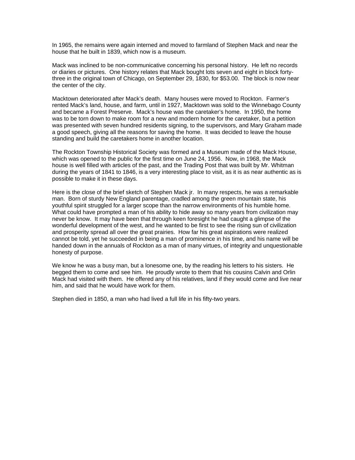In 1965, the remains were again interned and moved to farmland of Stephen Mack and near the house that he built in 1839, which now is a museum.

Mack was inclined to be non-communicative concerning his personal history. He left no records or diaries or pictures. One history relates that Mack bought lots seven and eight in block fortythree in the original town of Chicago, on September 29, 1830, for \$53.00. The block is now near the center of the city.

Macktown deteriorated after Mack's death. Many houses were moved to Rockton. Farmer's rented Mack's land, house, and farm, until in 1927, Macktown was sold to the Winnebago County and became a Forest Preserve. Mack's house was the caretaker's home. In 1950, the home was to be torn down to make room for a new and modern home for the caretaker, but a petition was presented with seven hundred residents signing, to the supervisors, and Mary Graham made a good speech, giving all the reasons for saving the home. It was decided to leave the house standing and build the caretakers home in another location.

The Rockton Township Historical Society was formed and a Museum made of the Mack House, which was opened to the public for the first time on June 24, 1956. Now, in 1968, the Mack house is well filled with articles of the past, and the Trading Post that was built by Mr. Whitman during the years of 1841 to 1846, is a very interesting place to visit, as it is as near authentic as is possible to make it in these days.

Here is the close of the brief sketch of Stephen Mack jr. In many respects, he was a remarkable man. Born of sturdy New England parentage, cradled among the green mountain state, his youthful spirit struggled for a larger scope than the narrow environments of his humble home. What could have prompted a man of his ability to hide away so many years from civilization may never be know. It may have been that through keen foresight he had caught a glimpse of the wonderful development of the west, and he wanted to be first to see the rising sun of civilization and prosperity spread all over the great prairies. How far his great aspirations were realized cannot be told, yet he succeeded in being a man of prominence in his time, and his name will be handed down in the annuals of Rockton as a man of many virtues, of integrity and unquestionable honesty of purpose.

We know he was a busy man, but a lonesome one, by the reading his letters to his sisters. He begged them to come and see him. He proudly wrote to them that his cousins Calvin and Orlin Mack had visited with them. He offered any of his relatives, land if they would come and live near him, and said that he would have work for them.

Stephen died in 1850, a man who had lived a full life in his fifty-two years.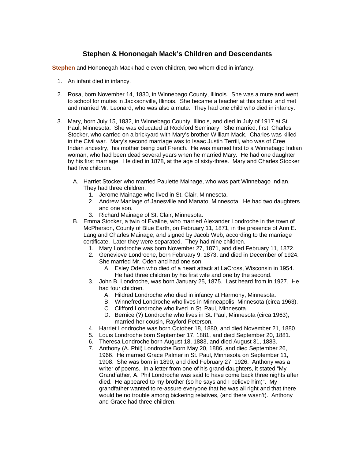# **Stephen & Hononegah Mack's Children and Descendants**

**Stephen** and Hononegah Mack had eleven children, two whom died in infancy.

- 1. An infant died in infancy.
- 2. Rosa, born November 14, 1830, in Winnebago County, Illinois. She was a mute and went to school for mutes in Jacksonville, Illinois. She became a teacher at this school and met and married Mr. Leonard, who was also a mute. They had one child who died in infancy.
- 3. Mary, born July 15, 1832, in Winnebago County, Illinois, and died in July of 1917 at St. Paul, Minnesota. She was educated at Rockford Seminary. She married, first, Charles Stocker, who carried on a brickyard with Mary's brother William Mack. Charles was killed in the Civil war. Mary's second marriage was to Isaac Justin Terrill, who was of Cree Indian ancestry, his mother being part French. He was married first to a Winnebago Indian woman, who had been dead several years when he married Mary. He had one daughter by his first marriage. He died in 1878, at the age of sixty-three. Mary and Charles Stocker had five children.
	- A. Harriet Stocker who married Paulette Mainage, who was part Winnebago Indian. They had three children.
		- 1. Jerome Mainage who lived in St. Clair, Minnesota.
		- 2. Andrew Maniage of Janesville and Manato, Minnesota. He had two daughters and one son.
		- 3. Richard Mainage of St. Clair, Minnesota.
	- B. Emma Stocker, a twin of Evaline, who married Alexander Londroche in the town of McPherson, County of Blue Earth, on February 11, 1871, in the presence of Ann E. Lang and Charles Mainage, and signed by Jacob Web, according to the marriage certificate. Later they were separated. They had nine children.
		- 1. Mary Londroche was born November 27, 1871, and died February 11, 1872.
		- 2. Genevieve Londroche, born February 9, 1873, and died in December of 1924. She married Mr. Oden and had one son.
			- A. Esley Oden who died of a heart attack at LaCross, Wisconsin in 1954. He had three children by his first wife and one by the second.
		- 3. John B. Londroche, was born January 25, 1875. Last heard from in 1927. He had four children.
			- A. Hildred Londroche who died in infancy at Harmony, Minnesota.
			- B. Winnefred Londroche who lives in Minneapolis, Minnesota (circa 1963).
			- C. Clifford Londroche who lived in St. Paul, Minnesota.
			- D. Bernice (?) Londroche who lives in St. Paul, Minnesota (circa 1963), married her cousin, Rayford Peterson.
		- 4. Harriet Londroche was born October 18, 1880, and died November 21, 1880.
		- 5. Louis Londroche born September 17, 1881, and died September 20, 1881.
		- 6. Theresa Londroche born August 18, 1883, and died August 31, 1883.
		- 7. Anthony (A. Phil) Londroche Born May 20, 1886, and died September 26, 1966. He married Grace Palmer in St. Paul, Minnesota on September 11, 1908. She was born in 1890, and died February 27, 1926. Anthony was a writer of poems. In a letter from one of his grand-daughters, it stated "My Grandfather, A. Phil Londroche was said to have come back three nights after died. He appeared to my brother (so he says and I believe him)". My grandfather wanted to re-assure everyone that he was all right and that there would be no trouble among bickering relatives, (and there wasn't). Anthony and Grace had three children.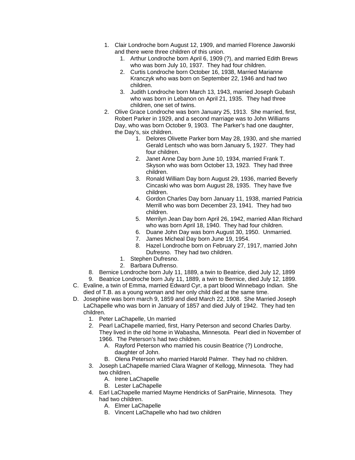- 1. Clair Londroche born August 12, 1909, and married Florence Jaworski and there were three children of this union.
	- 1. Arthur Londroche born April 6, 1909 (?), and married Edith Brews who was born July 10, 1937. They had four children.
	- 2. Curtis Londroche born October 16, 1938, Married Marianne Kranczyk who was born on September 22, 1946 and had two children.
	- 3. Judith Londroche born March 13, 1943, married Joseph Gubash who was born in Lebanon on April 21, 1935. They had three children, one set of twins.
- 2. Olive Grace Londroche was born January 25, 1913. She married, first, Robert Parker in 1929, and a second marriage was to John Williams Day, who was born October 9, 1903. The Parker's had one daughter, the Day's, six children.
	- 1. Delores Olivette Parker born May 28, 1930, and she married Gerald Lentsch who was born January 5, 1927. They had four children.
	- 2. Janet Anne Day born June 10, 1934, married Frank T. Skyson who was born October 13, 1923. They had three children.
	- 3. Ronald William Day born August 29, 1936, married Beverly Cincaski who was born August 28, 1935. They have five children.
	- 4. Gordon Charles Day born January 11, 1938, married Patricia Merrill who was born December 23, 1941. They had two children.
	- 5. Merrilyn Jean Day born April 26, 1942, married Allan Richard who was born April 18, 1940. They had four children.
	- 6. Duane John Day was born August 30, 1950. Unmarried.
	- 7. James Micheal Day born June 19, 1954.
	- 8. Hazel Londroche born on February 27, 1917, married John Dufresno. They had two children.
	- 1. Stephen Dufresno.
	- 2. Barbara Dufrenso.
- 8. Bernice Londroche born July 11, 1889, a twin to Beatrice, died July 12, 1899
- 9. Beatrice Londroche born July 11, 1889, a twin to Bernice, died July 12, 1899. C. Evaline, a twin of Emma, married Edward Cyr, a part blood Winnebago Indian. She died of T.B. as a young woman and her only child died at the same time.
- D. Josephine was born march 9, 1859 and died March 22, 1908. She Married Joseph LaChapelle who was born in January of 1857 and died July of 1942. They had ten children.
	- 1. Peter LaChapelle, Un married
	- 2. Pearl LaChapelle married, first, Harry Peterson and second Charles Darby. They lived in the old home in Wabasha, Minnesota. Pearl died in November of 1966. The Peterson's had two children.
		- A. Rayford Peterson who married his cousin Beatrice (?) Londroche, daughter of John.
		- B. Olena Peterson who married Harold Palmer. They had no children.
	- 3. Joseph LaChapelle married Clara Wagner of Kellogg, Minnesota. They had two children.
		- A. Irene LaChapelle
		- B. Lester LaChapelle
	- 4. Earl LaChapelle married Mayme Hendricks of SanPrairie, Minnesota. They had two children.
		- A. Elmer LaChapelle
		- B. Vincent LaChapelle who had two children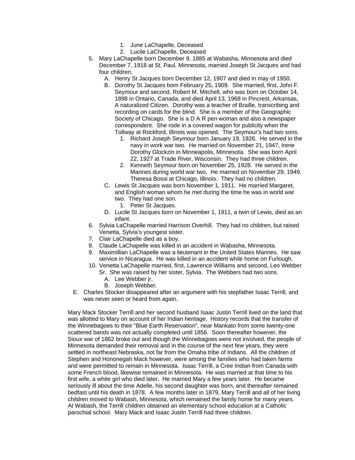- 1. June LaChapelle, Deceased
- 2. Lucile LaChapelle, Deceased
- 5. Mary LaChapelle born December 9, 1885 at Wabasha, Minnesota and died December 7, 1918 at St. Paul, Minnesota, married Joseph St Jacques and had four children.
	- A. Henry St Jacques born December 12, 1907 and died in may of 1950.
	- B. Dorothy St Jacques born February 25, 1909. She married, first, John F. Seymour and second, Robert M. Mitchell, who was born on October 14, 1898 in Ontario, Canada, and died April 13, 1968 in Pincrest, Arkansas, A naturalized Citizen. Dorothy was a teacher of Braille, transcribing and recording on cards for the blind. She is a member of the Geographic Society of Chicago. She is a D A R pen woman and also a newspaper correspondent. She rode in a covered wagon for publicity when the Tollway at Rockford, Illinois was opened. The Seymour's had two sons.
		- 1. Richard Joseph Seymour born January 19, 1926. He served in the navy in work war two. He married on November 21, 1947, Irene Dorothy Glockzin in Minneapolis, Minnesota. She was born April 22, 1927 at Trade River, Wisconsin. They had three children.
		- 2. Kenneth Seymour born on November 25, 1928. He served in the Marines during world war two. He married on November 29, 1949, Theresa Bossi at Chicago, Illinois. They had no children.
	- C. Lewis St Jacques was born November 1, 1911. He married Margaret, and English woman whom he met during the time he was in world war two. They had one son.
		- 1. Peter St Jacques.
	- D. Lucile St Jacques born on November 1, 1911, a twin of Lewis, died as an infant.
- 6. Sylvia LaChapelle married Harrison Overhill. They had no children, but raised Venetta, Sylvia's youngest sister.
- 7. Clair LaChapelle died as a boy.
- 8. Claude LaChapelle was killed in an accident in Wabasha, Minnesota.
- 9. Maximillian LaChapelle was a lieutenant in the United States Marines. He saw service in Nicaragua. He was killed in an accident while home on Furlough.
- 10. Venetta LaChapelle married, first, Lawrence Williams and second, Leo Webber Sr. She was raised by her sister, Sylvia. The Webbers had two sons.
	- A. Lee Webber jr.
	- B. Joseph Webber.
- E. Charles Stocker disappeared after an argument with his stepfather Isaac Terrill, and was never seen or heard from again.

Mary Mack Stocker Terrill and her second husband Isaac Justin Terrill lived on the land that was allotted to Mary on account of her Indian heritage. History records that the transfer of the Winnebagoes to their "Blue Earth Reservation", near Mankato from some twenty-one scattered bands was not actually completed until 1856. Soon thereafter however, the Sioux war of 1862 broke out and though the Winnebagoes were not involved, the people of Minnesota demanded their removal and in the course of the next few years, they were settled in northeast Nebraska, not far from the Omaha tribe of Indians. All the children of Stephen and Hononegah Mack however, were among the families who had taken farms and were permitted to remain in Minnesota. Isaac Terrill, a Cree Indian from Canada with some French blood, likewise remained in Minnesota. He was married at that time to his first wife, a white girl who died later. He married Mary a few years later. He became seriously ill about the time Adelle, his second daughter was born, and thereafter remained bedfast until his death in 1878. A few months later in 1879, Mary Terrill and all of her living children moved to Wabash, Minnesota, which remained the family home for many years. At Wabash, the Terrill children obtained an elementary school education at a Catholic parochial school. Mary Mack and Isaac Justin Terrill had three children.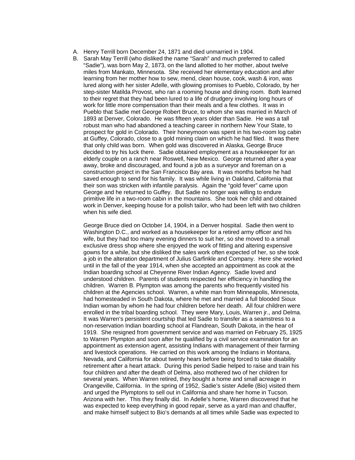- A. Henry Terrill born December 24, 1871 and died unmarried in 1904.
- B. Sarah May Terrill (who disliked the name "Sarah" and much preferred to called "Sadie"), was born May 2, 1873, on the land allotted to her mother, about twelve miles from Mankato, Minnesota. She received her elementary education and after learning from her mother how to sew, mend, clean house, cook, wash & iron, was lured along with her sister Adelle, with glowing promises to Pueblo, Colorado, by her step-sister Matilda Provost, who ran a rooming house and dining room. Both learned to their regret that they had been lured to a life of drudgery involving long hours of work for little more compensation than their meals and a few clothes. It was in Pueblo that Sadie met George Robert Bruce, to whom she was married in March of 1893 at Denver, Colorado. He was fifteen years older than Sadie. He was a tall robust man who had abandoned a teaching career in northern New Your State, to prospect for gold in Colorado. Their honeymoon was spent in his two-room log cabin at Guffey, Colorado, close to a gold mining claim on which he had filed. It was there that only child was born. When gold was discovered in Alaska, George Bruce decided to try his luck there. Sadie obtained employment as a housekeeper for an elderly couple on a ranch near Roswell, New Mexico. George returned after a year away, broke and discouraged, and found a job as a surveyor and foreman on a construction project in the San Francisco Bay area. It was months before he had saved enough to send for his family. It was while living in Oakland, California that their son was stricken with infantile paralysis. Again the "gold fever" came upon George and he returned to Guffey. But Sadie no longer was willing to endure primitive life in a two-room cabin in the mountains. She took her child and obtained work in Denver, keeping house for a polish tailor, who had been left with two children when his wife died.

George Bruce died on October 14, 1904, in a Denver hospital. Sadie then went to Washington D.C., and worked as a housekeeper for a retired army officer and his wife, but they had too many evening dinners to suit her, so she moved to a small exclusive dress shop where she enjoyed the work of fitting and altering expensive gowns for a while, but she disliked the sales work often expected of her, so she took a job in the alteration department of Julius Garfinkle and Company. Here she worked until in the fall of the year 1914, when she accepted an appointment as cook at the Indian boarding school at Cheyenne River Indian Agency. Sadie loved and understood children. Parents of students respected her efficiency in handling the children. Warren B. Plympton was among the parents who frequently visited his children at the Agencies school. Warren, a white man from Minneapolis, Minnesota, had homesteaded in South Dakota, where he met and married a full blooded Sioux Indian woman by whom he had four children before her death. All four children were enrolled in the tribal boarding school. They were Mary, Louis, Warren jr., and Delma. It was Warren's persistent courtship that led Sadie to transfer as a seamstress to a non-reservation Indian boarding school at Flandrean, South Dakota, in the hear of 1919. She resigned from government service and was married on February 25, 1925 to Warren Plympton and soon after he qualified by a civil service examination for an appointment as extension agent, assisting Indians with management of their farming and livestock operations. He carried on this work among the Indians in Montana, Nevada, and California for about twenty hears before being forced to take disability retirement after a heart attack. During this period Sadie helped to raise and train his four children and after the death of Delma, also mothered two of her children for several years. When Warren retired, they bought a home and small acreage in Orangeville, California. In the spring of 1952, Sadie's sister Adelle (Bio) visited them and urged the Plymptons to sell out in California and share her home in Tucson. Arizona with her. This they finally did. In Adelle's home, Warren discovered that he was expected to keep everything in good repair, serve as a yard man and chauffer, and make himself subject to Bio's demands at all times while Sadie was expected to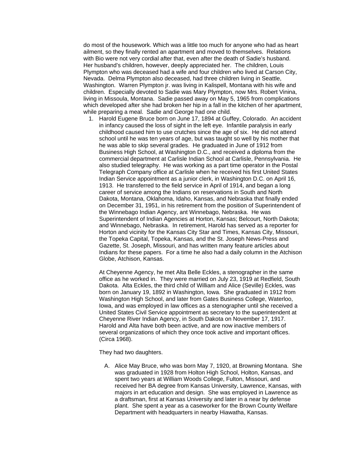do most of the housework. Which was a little too much for anyone who had as heart ailment, so they finally rented an apartment and moved to themselves. Relations with Bio were not very cordial after that, even after the death of Sadie's husband. Her husband's children, however, deeply appreciated her. The children, Louis Plympton who was deceased had a wife and four children who lived at Carson City, Nevada. Delma Plympton also deceased, had three children living in Seattle, Washington. Warren Plympton jr. was living in Kalispell, Montana with his wife and children. Especially devoted to Sadie was Mary Plympton, now Mrs. Robert Vinina, living in Missoula, Montana. Sadie passed away on May 5, 1965 from complications which developed after she had broken her hip in a fall in the kitchen of her apartment, while preparing a meal. Sadie and George had one child.

1. Harold Eugene Bruce born on June 17, 1894 at Guffey, Colorado. An accident in infancy caused the loss of sight in the left eye. Infantile paralysis in early childhood caused him to use crutches since the age of six. He did not attend school until he was ten years of age, but was taught so well by his mother that he was able to skip several grades. He graduated in June of 1912 from Business High School, at Washington D.C., and received a diploma from the commercial department at Carlisle Indian School at Carlisle, Pennsylvania. He also studied telegraphy. He was working as a part time operator in the Postal Telegraph Company office at Carlisle when he received his first United States Indian Service appointment as a junior clerk, in Washington D.C. on April 16, 1913. He transferred to the field service in April of 1914, and began a long career of service among the Indians on reservations in South and North Dakota, Montana, Oklahoma, Idaho, Kansas, and Nebraska that finally ended on December 31, 1951, in his retirement from the position of Superintendent of the Winnebago Indian Agency, ant Winnebago, Nebraska. He was Superintendent of Indian Agencies at Horton, Kansas; Belcourt, North Dakota; and Winnebago, Nebraska. In retirement, Harold has served as a reporter for Horton and vicinity for the Kansas City Star and Times, Kansas City, Missouri, the Topeka Capital, Topeka, Kansas, and the St. Joseph News-Press and Gazette, St. Joseph, Missouri, and has written many feature articles about Indians for these papers. For a time he also had a daily column in the Atchison Globe, Atchison, Kansas.

At Cheyenne Agency, he met Alta Belle Eckles, a stenographer in the same office as he worked in. They were married on July 23, 1919 at Redfield, South Dakota. Alta Eckles, the third child of William and Alice (Seville) Eckles, was born on January 19, 1892 in Washington, Iowa. She graduated in 1912 from Washington High School, and later from Gates Business College, Waterloo, Iowa, and was employed in law offices as a stenographer until she received a United States Civil Service appointment as secretary to the superintendent at Cheyenne River Indian Agency, in South Dakota on November 17, 1917. Harold and Alta have both been active, and are now inactive members of several organizations of which they once took active and important offices. (Circa 1968).

They had two daughters.

A. Alice May Bruce, who was born May 7, 1920, at Browning Montana. She was graduated in 1928 from Holton High School, Holton, Kansas, and spent two years at William Woods College, Fulton, Missouri, and received her BA degree from Kansas University, Lawrence, Kansas, with majors in art education and design. She was employed in Lawrence as a draftsman, first at Kansas University and later in a near by defense plant. She spent a year as a caseworker for the Brown County Welfare Department with headquarters in nearby Hiawatha, Kansas.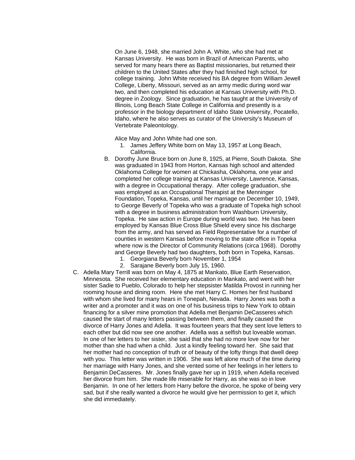On June 6, 1948, she married John A. White, who she had met at Kansas University. He was born in Brazil of American Parents, who served for many hears there as Baptist missionaries, but returned their children to the United States after they had finished high school, for college training. John White received his BA degree from William Jewell College, Liberty, Missouri, served as an army medic during word war two, and then completed his education at Kansas University with Ph.D. degree in Zoology. Since graduation, he has taught at the University of Illinois, Long Beach State College in California and presently is a professor in the biology department of Idaho State University, Pocatello, Idaho, where he also serves as curator of the University's Museum of Vertebrate Paleontology.

Alice May and John White had one son.

- 1. James Jeffery White born on May 13, 1957 at Long Beach, California.
- B. Dorothy June Bruce born on June 8, 1925, at Pierre, South Dakota. She was graduated in 1943 from Horton, Kansas high school and attended Oklahoma College for women at Chickasha, Oklahoma, one year and completed her college training at Kansas University, Lawrence, Kansas, with a degree in Occupational therapy. After college graduation, she was employed as an Occupational Therapist at the Menninger Foundation, Topeka, Kansas, until her marriage on December 10, 1949, to George Beverly of Topeka who was a graduate of Topeka high school with a degree in business administration from Washburn University, Topeka. He saw action in Europe during world was two. He has been employed by Kansas Blue Cross Blue Shield every since his discharge from the army, and has served as Field Representative for a number of counties in western Kansas before moving to the state office in Topeka where now is the Director of Community Relations (circa 1968). Dorothy and George Beverly had two daughters, both born in Topeka, Kansas.
	- 1. Georgiana Beverly born November 1, 1954
	- 2. Sarajane Beverly born July 15, 1960.
- C. Adella Mary Terrill was born on May 4, 1875 at Mankato, Blue Earth Reservation, Minnesota. She received her elementary education in Mankato, and went with her sister Sadie to Pueblo, Colorado to help her stepsister Matilda Provost in running her rooming house and dining room. Here she met Harry C. Homes her first husband with whom she lived for many hears in Tonepah, Nevada. Harry Jones was both a writer and a promoter and it was on one of his business trips to New York to obtain financing for a silver mine promotion that Adella met Benjamin DeCasseres which caused the start of many letters passing between them, and finally caused the divorce of Harry Jones and Adella. It was fourteen years that they sent love letters to each other but did now see one another. Adella was a selfish but loveable woman. In one of her letters to her sister, she said that she had no more love now for her mother than she had when a child. Just a kindly feeling toward her. She said that her mother had no conception of truth or of beauty of the lofty things that dwell deep with you. This letter was written in 1906. She was left alone much of the time during her marriage with Harry Jones, and she vented some of her feelings in her letters to Benjamin DeCasseres. Mr. Jones finally gave her up in 1919, when Adella received her divorce from him. She made life miserable for Harry, as she was so in love Benjamin. In one of her letters from Harry before the divorce, he spoke of being very sad, but if she really wanted a divorce he would give her permission to get it, which she did immediately.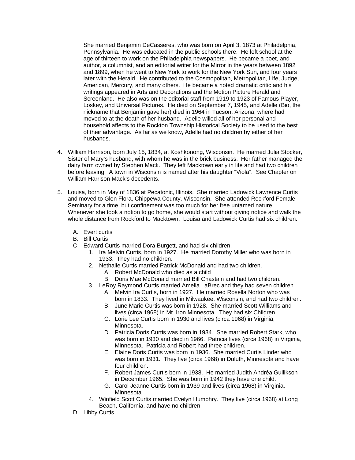She married Benjamin DeCasseres, who was born on April 3, 1873 at Philadelphia, Pennsylvania. He was educated in the public schools there. He left school at the age of thirteen to work on the Philadelphia newspapers. He became a poet, and author, a columnist, and an editorial writer for the Mirror in the years between 1892 and 1899, when he went to New York to work for the New York Sun, and four years later with the Herald. He contributed to the Cosmopolitan, Metropolitan, Life, Judge, American, Mercury, and many others. He became a noted dramatic critic and his writings appeared in Arts and Decorations and the Motion Picture Herald and Screenland. He also was on the editorial staff from 1919 to 1923 of Famous Player, Loskey, and Universal Pictures. He died on September 7, 1945, and Adelle (Bio, the nickname that Benjamin gave her) died in 1964 in Tucson, Arizona, where had moved to at the death of her husband. Adelle willed all of her personal and household affects to the Rockton Township Historical Society to be used to the best of their advantage. As far as we know, Adelle had no children by either of her husbands.

- 4. William Harrison, born July 15, 1834, at Koshkonong, Wisconsin. He married Julia Stocker, Sister of Mary's husband, with whom he was in the brick business. Her father managed the dairy farm owned by Stephen Mack. They left Macktown early in life and had two children before leaving. A town in Wisconsin is named after his daughter "Viola". See Chapter on William Harrison Mack's decedents.
- 5. Louisa, born in May of 1836 at Pecatonic, Illinois. She married Ladowick Lawrence Curtis and moved to Glen Flora, Chippewa County, Wisconsin. She attended Rockford Female Seminary for a time, but confinement was too much for her free untamed nature. Whenever she took a notion to go home, she would start without giving notice and walk the whole distance from Rockford to Macktown. Louisa and Ladowick Curtis had six children.
	- A. Evert curtis
	- B. Bill Curtis
	- C. Edward Curtis married Dora Burgett, and had six children.
		- 1. Ira Melvin Curtis, born in 1927. He married Dorothy Miller who was born in 1933. They had no children.
		- 2. Nethalie Curtis married Patrick McDonald and had two children.
			- A. Robert McDonald who died as a child
			- B. Doris Mae McDonald married Bill Chastain and had two children.
		- 3. LeRoy Raymond Curtis married Amelia LaBrec and they had seven children
			- A. Melvin Ira Curtis, born in 1927. He married Rosella Norton who was born in 1833. They lived in Milwaukee, Wisconsin, and had two children.
			- B. June Marie Curtis was born in 1928. She married Scott Williams and lives (circa 1968) in Mt. Iron Minnesota. They had six Children.
			- C. Lorie Lee Curtis born in 1930 and lives (circa 1968) in Virginia, Minnesota.
			- D. Patricia Doris Curtis was born in 1934. She married Robert Stark, who was born in 1930 and died in 1966. Patricia lives (circa 1968) in Virginia, Minnesota. Patricia and Robert had three children.
			- E. Elaine Doris Curtis was born in 1936. She married Curtis Linder who was born in 1931. They live (circa 1968) in Duluth, Minnesota and have four children.
			- F. Robert James Curtis born in 1938. He married Judith Andréa Gullikson in December 1965. She was born in 1942 they have one child.
			- G. Carol Jeanne Curtis born in 1939 and lives (circa 1968) in Virginia, Minnesota
		- 4. Winfield Scott Curtis married Evelyn Humphry. They live (circa 1968) at Long Beach, California, and have no children
	- D. Libby Curtis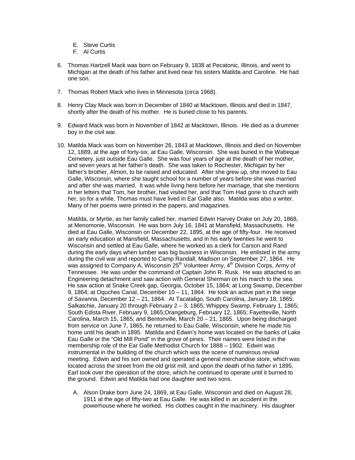- E. Steve Curtis
- F. Al Curtis
- 6. Thomas Hartzell Mack was born on February 9, 1838 at Pecatonic, Illinois, and went to Michigan at the death of his father and lived near his sisters Matilda and Caroline. He had one son.
- 7. Thomas Robert Mack who lives in Minnesota (circa 1968).
- 8. Henry Clay Mack was born in December of 1840 at Macktown, Illinois and died in 1847, shortly after the death of his mother. He is buried close to his parents.
- 9. Edward Mack was born in November of 1842 at Macktown, Illinois. He died as a drummer boy in the civil war.
- 10. Matilda Mack was born on November 26, 1843 at Macktown, Illinois and died on November 12, 1889, at the age of forty-six, at Eau Galle, Wisconsin. She was buried in the Wabeque Cemetery, just outside Eau Galle. She was four years of age at the death of her mother, and seven years at her father's death. She was taken to Rochester, Michigan by her father's brother, Almon, to be raised and educated. After she grew up, she moved to Eau Galle, Wisconsin, where she taught school for a number of years before she was married and after she was married. It was while living here before her marriage, that she mentions in her letters that Tom, her brother, had visited her, and that Tom Had gone to church with her, so for a while, Thomas must have lived in Ear Galle also. Matilda was also a writer. Many of her poems were printed in the papers, and magazines.

Matilda, or Myrtie, as her family called her, married Edwin Harvey Drake on July 20, 1868, at Menomonie, Wisconsin. He was born July 16, 1841 at Mansfield, Massachusetts. He died at Eau Galle, Wisconsin on December 22, 1895, at the age of fifty-four. He received an early education at Mansfield, Massachusetts, and in his early twenties he went to Wisconsin and settled at Eau Galle, where he worked as a clerk for Carson and Rand during the early days when lumber was big business in Wisconsin. He enlisted in the army during the civil war and reported to Camp Randall, Madison on September 27, 1864. He was assigned to Company A, Wisconsin 25<sup>th</sup> Volunteer Army, 4<sup>th</sup> Division Corps, Army of Tennessee. He was under the command of Captain John R. Rusk. He was attached to an Engineering detachment and saw action with General Sherman on his march to the sea. He saw action at Snake Creek gap, Georgia, October 15, 1864; at Long Swamp, December 9, 1864; at Oquches Canal, December 10 – 11, 1864. He took an active part in the siege of Savanna, December 12 – 21, 1864. At Tacataligo, South Carolina, January 18, 1865; Salkatchie, January 20 through February 2 – 3, 1865; Whippey Swamp, February 1, 1865; South Edista River, February 9, 1865;Orangeburg, February 12, 1865; Fayetteville, North Carolina, March 15, 1865; and Bentonville, March 20 – 21, 1865. Upon being discharged from service on June 7, 1865, he returned to Eau Galle, Wisconsin, where he made his home until his death in 1895. Matilda and Edwin's home was located on the banks of Lake Eau Galle or the "Old Mill Pond" in the grove of pines. Their names were listed in the membership role of the Ear Galle Methodist Church for 1888 – 1902. Edwin was instrumental in the building of the church which was the scene of numerous revival meeting. Edwin and his son owned and operated a general merchandise store, which was located across the street from the old grist mill, and upon the death of his father in 1895, Earl took over the operation of the store, which he continued to operate until it burned to the ground. Edwin and Matilda had one daughter and two sons.

A. Alson Drake born June 24, 1869, at Eau Galle, Wisconsin and died on August 28, 1911 at the age of fifty-two at Eau Galle. He was killed in an accident in the powerhouse where he worked. His clothes caught in the machinery. His daughter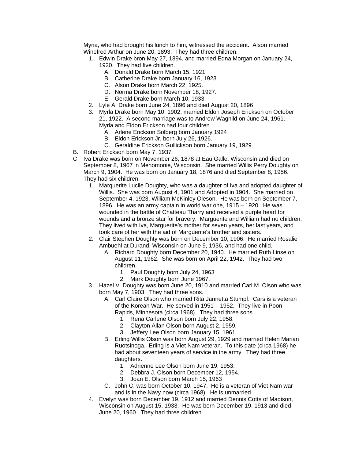Myria, who had brought his lunch to him, witnessed the accident. Alson married Winefred Arthur on June 20, 1893. They had three children.

- 1. Edwin Drake bron May 27, 1894, and married Edna Morgan on January 24,
	- 1920. They had five children.
		- A. Donald Drake born March 15, 1921
		- B. Catherine Drake born January 16, 1923.
		- C. Alson Drake born March 22, 1925.
		- D. Norma Drake born November 18, 1927.
		- E. Gerald Drake born March 10, 1933.
- 2. Lyle A. Drake born June 24, 1896 and died August 20, 1896
- 3. Myrla Drake born May 10, 1902, married Eldon Joseph Erickson on October 21, 1922. A second marriage was to Andrew Wagnild on June 24, 1961. Myrla and Eldon Erickson had four children
	- A. Arlene Erickson Solberg born January 1924
	- B. Eldon Erickson Jr. born July 26, 1926.
	- C. Geraldine Erickson Gullickson born January 19, 1929
- B. Robert Erickson born May 7, 1937
- C. Iva Drake was born on November 26, 1878 at Eau Galle, Wisconsin and died on September 8, 1967 in Menomonie, Wisconsin. She married Willis Perry Doughty on March 9, 1904. He was born on January 18, 1876 and died September 8, 1956. They had six children.
	- 1. Marquerite Lucile Doughty, who was a daughter of Iva and adopted daughter of Willis. She was born August 4, 1901 and Adopted in 1904. She married on September 4, 1923, William McKinley Oleson. He was born on September 7, 1896. He was an army captain in world war one, 1915 – 1920. He was wounded in the battle of Chatteau Tharry and received a purple heart for wounds and a bronze star for bravery. Marguerite and William had no children. They lived with Iva, Marguerite's mother for seven years, her last years, and took care of her with the aid of Marguerite's brother and sisters.
	- 2. Clair Stephen Doughty was born on December 10, 1906. He married Rosalie Ambuehl at Durand, Wisconsin on June 9, 1936, and had one child.
		- A. Richard Doughty born December 20, 1940. He married Ruth Linse on August 11, 1962. She was born on April 22, 1942. They had two children.
			- 1. Paul Doughty born July 24, 1963
			- 2. Mark Doughty born June 1967.
	- 3. Hazel V. Doughty was born June 20, 1910 and married Carl M. Olson who was born May 7, 1903. They had three sons.
		- A. Carl Claire Olson who married Rita Jannetta Stumpf. Cars is a veteran of the Korean War. He served in 1951 – 1952. They live in Poon Rapids, Minnesota (circa 1968). They had three sons.
			- 1. Rena Carlene Olson born July 22, 1958.
			- 2. Clayton Allan Olson born August 2, 1959.
			- 3. Jeffery Lee Olson born January 15, 1961.
		- B. Erling Willis Olson was born August 29, 1929 and married Helen Marian Ruotsinoga. Erling is a Viet Nam veteran. To this date (circa 1968) he had about seventeen years of service in the army. They had three daughters.
			- 1. Adrienne Lee Olson born June 19, 1953.
			- 2. Debbra J. Olson born December 12, 1954.
			- 3. Joan E. Olson born March 15, 1963
		- C. John C. was born October 10, 1947. He is a veteran of Viet Nam war and is in the Navy now (circa 1968). He is unmarried
	- 4. Evelyn was born December 19, 1912 and married Dennis Cotts of Madison, Wisconsin on August 15, 1933. He was born December 19, 1913 and died June 20, 1960. They had three children.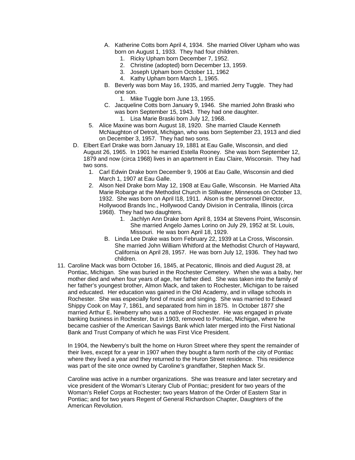- A. Katherine Cotts born April 4, 1934. She married Oliver Upham who was born on August 1, 1933. They had four children.
	- 1. Ricky Upham born December 7, 1952.
	- 2. Christine (adopted) born December 13, 1959.
	- 3. Joseph Upham born October 11, 1962
	- 4. Kathy Upham born March 1, 1965.
- B. Beverly was born May 16, 1935, and married Jerry Tuggle. They had one son.
	- 1. Mike Tuggle born June 13, 1955.
- C. Jacqueline Cotts born January 9, 1946. She married John Braski who was born September 15, 1943. They had one daughter.
	- 1. Lisa Marie Braski born July 12, 1968.
- 5. Alice Maxine was born August 18, 1920. She married Claude Kenneth McNaughton of Detroit, Michigan, who was born September 23, 1913 and died on December 3, 1957. They had two sons.
- D. Elbert Earl Drake was born January 19, 1881 at Eau Galle, Wisconsin, and died August 26, 1965. In 1901 he married Estella Rooney. She was born September 12, 1879 and now (circa 1968) lives in an apartment in Eau Claire, Wisconsin. They had two sons.
	- 1. Carl Edwin Drake born December 9, 1906 at Eau Galle, Wisconsin and died March 1, 1907 at Eau Galle.
	- 2. Alson Neil Drake born May 12, 1908 at Eau Galle, Wisconsin. He Married Alta Marie Robarge at the Methodist Church in Stillwater, Minnesota on October 13, 1932. She was born on April l18, 1911. Alson is the personnel Director, Hollywood Brands Inc., Hollywood Candy Division in Centralia, Illinois (circa 1968). They had two daughters.
		- 1. Jachlyn Ann Drake born April 8, 1934 at Stevens Point, Wisconsin. She married Angelo James Lorino on July 29, 1952 at St. Louis, Missouri. He was born April 18, 1929.
		- B. Linda Lee Drake was born February 22, 1939 at La Cross, Wisconsin. She married John William Whitford at the Methodist Church of Hayward, California on April 28, 1957. He was born July 12, 1936. They had two children.
- 11. Caroline Mack was born October 16, 1845, at Pecatonic, Illinois and died August 28, at Pontiac, Michigan. She was buried in the Rochester Cemetery. When she was a baby, her mother died and when four years of age, her father died. She was taken into the family of her father's youngest brother, Almon Mack, and taken to Rochester, Michigan to be raised and educated. Her education was gained in the Old Academy, and in village schools in Rochester. She was especially fond of music and singing. She was married to Edward Shippy Cook on May 7, 1861, and separated from him in 1875. In October 1877 she married Arthur E. Newberry who was a native of Rochester. He was engaged in private banking business in Rochester, but in 1903, removed to Pontiac, Michigan, where he became cashier of the American Savings Bank which later merged into the First National Bank and Trust Company of which he was First Vice President.

In 1904, the Newberry's built the home on Huron Street where they spent the remainder of their lives, except for a year in 1907 when they bought a farm north of the city of Pontiac where they lived a year and they returned to the Huron Street residence. This residence was part of the site once owned by Caroline's grandfather, Stephen Mack Sr.

Caroline was active in a number organizations. She was treasure and later secretary and vice president of the Woman's Literary Club of Pontiac; president for two years of the Woman's Relief Corps at Rochester; two years Matron of the Order of Eastern Star in Pontiac; and for two years Regent of General Richardson Chapter, Daughters of the American Revolution.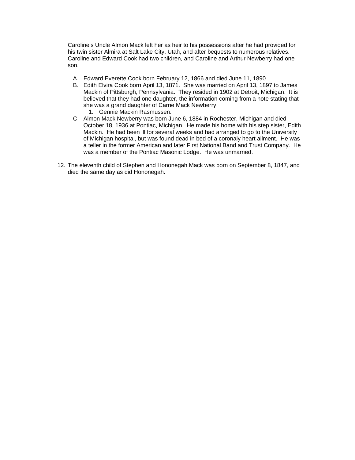Caroline's Uncle Almon Mack left her as heir to his possessions after he had provided for his twin sister Almira at Salt Lake City, Utah, and after bequests to numerous relatives. Caroline and Edward Cook had two children, and Caroline and Arthur Newberry had one son.

- A. Edward Everette Cook born February 12, 1866 and died June 11, 1890
- B. Edith Elvira Cook born April 13, 1871. She was married on April 13, 1897 to James Mackin of Pittsburgh, Pennsylvania. They resided in 1902 at Detroit, Michigan. It is believed that they had one daughter, the information coming from a note stating that she was a grand daughter of Carrie Mack Newberry.
	- 1. Gennie Mackin Rasmussen.
- C. Almon Mack Newberry was born June 6, 1884 in Rochester, Michigan and died October 18, 1936 at Pontiac, Michigan. He made his home with his step sister, Edith Mackin. He had been ill for several weeks and had arranged to go to the University of Michigan hospital, but was found dead in bed of a coronaly heart ailment. He was a teller in the former American and later First National Band and Trust Company. He was a member of the Pontiac Masonic Lodge. He was unmarried.
- 12. The eleventh child of Stephen and Hononegah Mack was born on September 8, 1847, and died the same day as did Hononegah.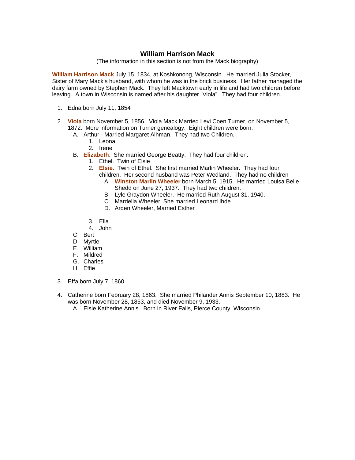# **William Harrison Mack**

(The information in this section is not from the Mack biography)

**William Harrison Mack** July 15, 1834, at Koshkonong, Wisconsin. He married Julia Stocker, Sister of Mary Mack's husband, with whom he was in the brick business. Her father managed the dairy farm owned by Stephen Mack. They left Macktown early in life and had two children before leaving. A town in Wisconsin is named after his daughter "Viola". They had four children.

- 1. Edna born July 11, 1854
- 2. **Viola** born November 5, 1856. Viola Mack Married Levi Coen Turner, on November 5, 1872. More information on Turner genealogy. Eight children were born.
	- A. Arthur Married Margaret Alhman. They had two Children.
		- 1. Leona
		- 2. Irene
	- B. **Elizabeth**. She married George Beatty. They had four children.
		- 1. Ethel. Twin of Elsie
		- 2. **Elsie.** Twin of Ethel. She first married Marlin Wheeler. They had four children. Her second husband was Peter Wedland. They had no children
			- A. **Winston Marlin Wheeler** born March 5, 1915. He married Louisa Belle Shedd on June 27, 1937. They had two children.
			- B. Lyle Graydon Wheeler. He married Ruth August 31, 1940.
			- C. Mardella Wheeler, She married Leonard Ihde
			- D. Arden Wheeler, Married Esther
		- 3. Ella
		- 4. John
	- C. Bert
	- D. Myrtle
	- E. William
	- F. Mildred
	- G. Charles
	- H. Effie
- 3. Effa born July 7, 1860
- 4. Catherine born February 28, 1863. She married Philander Annis September 10, 1883. He was born November 28, 1853, and died November 9, 1933.
	- A. Elsie Katherine Annis. Born in River Falls, Pierce County, Wisconsin.